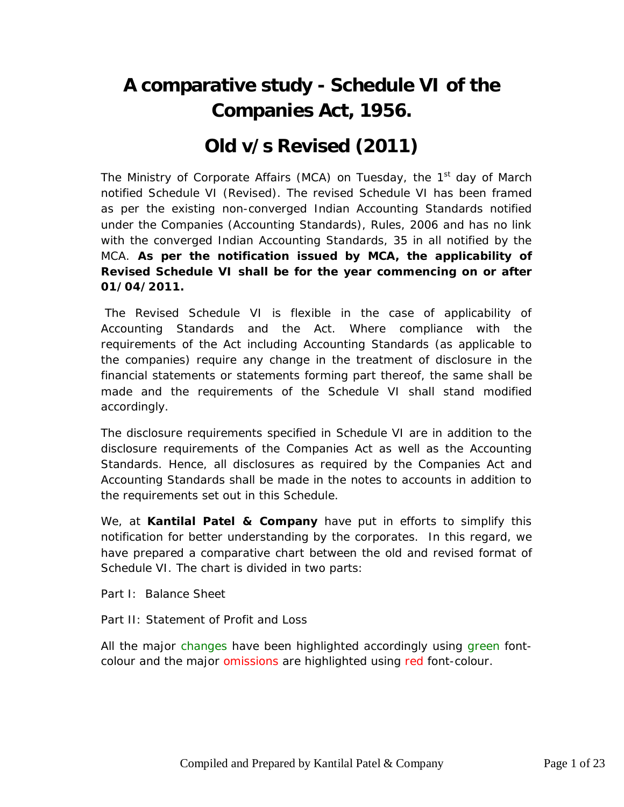## **A comparative study - Schedule VI of the Companies Act, 1956.**

## **Old v/s Revised (2011)**

The Ministry of Corporate Affairs (MCA) on Tuesday, the  $1<sup>st</sup>$  day of March notified Schedule VI (Revised). The revised Schedule VI has been framed as per the existing non-converged Indian Accounting Standards notified under the Companies (Accounting Standards), Rules, 2006 and has no link with the converged Indian Accounting Standards, 35 in all notified by the MCA. **As per the notification issued by MCA, the applicability of Revised Schedule VI shall be for the year commencing on or after 01/04/2011.**

The Revised Schedule VI is flexible in the case of applicability of Accounting Standards and the Act. Where compliance with the requirements of the Act including Accounting Standards (as applicable to the companies) require any change in the treatment of disclosure in the financial statements or statements forming part thereof, the same shall be made and the requirements of the Schedule VI shall stand modified accordingly.

The disclosure requirements specified in Schedule VI are in addition to the disclosure requirements of the Companies Act as well as the Accounting Standards. Hence, all disclosures as required by the Companies Act and Accounting Standards shall be made in the notes to accounts in addition to the requirements set out in this Schedule.

We, at **Kantilal Patel & Company** have put in efforts to simplify this notification for better understanding by the corporates. In this regard, we have prepared a comparative chart between the old and revised format of Schedule VI. The chart is divided in two parts:

Part I: Balance Sheet

Part II: Statement of Profit and Loss

All the major changes have been highlighted accordingly using green fontcolour and the major omissions are highlighted using red font-colour.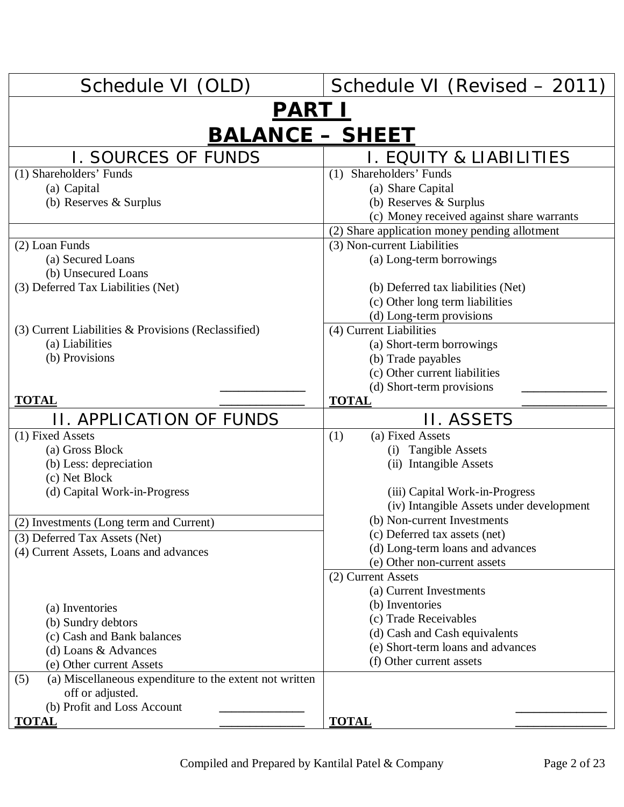| Schedule VI (OLD)                                                        | Schedule VI (Revised - 2011)                                                               |  |
|--------------------------------------------------------------------------|--------------------------------------------------------------------------------------------|--|
| <u>PART I</u>                                                            |                                                                                            |  |
| <b>BALANCE - SHEET</b>                                                   |                                                                                            |  |
| <b>I. SOURCES OF FUNDS</b>                                               | I. EQUITY & LIABILITIES                                                                    |  |
| (1) Shareholders' Funds                                                  | Shareholders' Funds<br>(1)                                                                 |  |
| (a) Capital                                                              | (a) Share Capital                                                                          |  |
| (b) Reserves & Surplus                                                   | (b) Reserves & Surplus                                                                     |  |
|                                                                          | (c) Money received against share warrants<br>(2) Share application money pending allotment |  |
| (2) Loan Funds                                                           | (3) Non-current Liabilities                                                                |  |
| (a) Secured Loans                                                        | (a) Long-term borrowings                                                                   |  |
| (b) Unsecured Loans                                                      |                                                                                            |  |
| (3) Deferred Tax Liabilities (Net)                                       | (b) Deferred tax liabilities (Net)                                                         |  |
|                                                                          | (c) Other long term liabilities                                                            |  |
|                                                                          | (d) Long-term provisions                                                                   |  |
| $(3)$ Current Liabilities & Provisions (Reclassified)                    | $(4)$ Current Liabilities                                                                  |  |
| (a) Liabilities                                                          | (a) Short-term borrowings                                                                  |  |
| (b) Provisions                                                           | (b) Trade payables<br>(c) Other current liabilities                                        |  |
|                                                                          | (d) Short-term provisions                                                                  |  |
| <b>TOTAL</b>                                                             | <b>TOTAL</b>                                                                               |  |
| <b>II. APPLICATION OF FUNDS</b>                                          | II. ASSETS                                                                                 |  |
| (1) Fixed Assets                                                         | (a) Fixed Assets<br>(1)                                                                    |  |
| (a) Gross Block                                                          | (i) Tangible Assets                                                                        |  |
| (b) Less: depreciation                                                   | (ii) Intangible Assets                                                                     |  |
| (c) Net Block                                                            |                                                                                            |  |
| (d) Capital Work-in-Progress                                             | (iii) Capital Work-in-Progress<br>(iv) Intangible Assets under development                 |  |
|                                                                          | (b) Non-current Investments                                                                |  |
| (2) Investments (Long term and Current)<br>(3) Deferred Tax Assets (Net) | (c) Deferred tax assets (net)                                                              |  |
| (4) Current Assets, Loans and advances                                   | (d) Long-term loans and advances                                                           |  |
|                                                                          | (e) Other non-current assets                                                               |  |
|                                                                          | (2) Current Assets                                                                         |  |
|                                                                          | (a) Current Investments                                                                    |  |
| (a) Inventories                                                          | (b) Inventories                                                                            |  |
| (b) Sundry debtors                                                       | (c) Trade Receivables<br>(d) Cash and Cash equivalents                                     |  |
| (c) Cash and Bank balances                                               | (e) Short-term loans and advances                                                          |  |
| (d) Loans & Advances<br>(e) Other current Assets                         | (f) Other current assets                                                                   |  |
| (a) Miscellaneous expenditure to the extent not written<br>(5)           |                                                                                            |  |
| off or adjusted.                                                         |                                                                                            |  |
| (b) Profit and Loss Account                                              |                                                                                            |  |
| <b>TOTAL</b>                                                             | <b>TOTAL</b>                                                                               |  |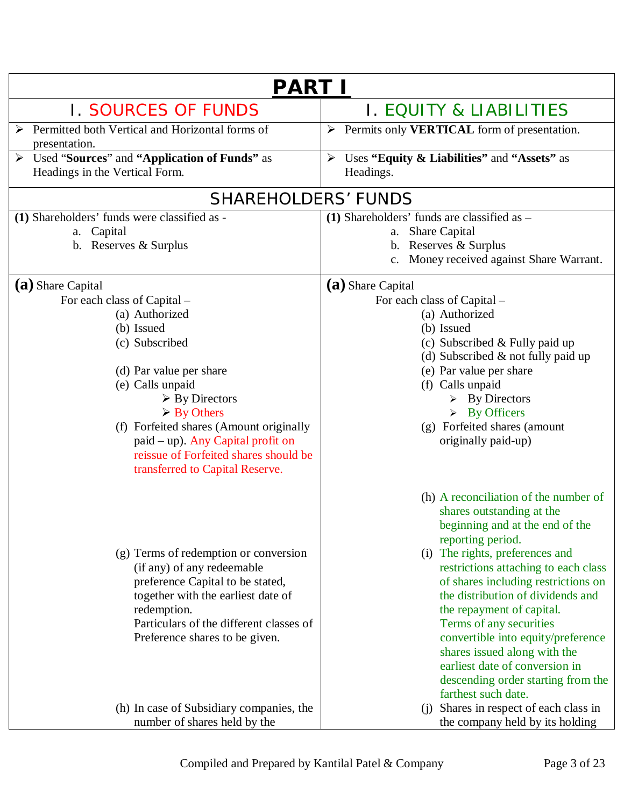| <b>PART I</b>                                                                                                                                                                                                                                                                                                                                                                   |                                                                                                                                                                                                                                                                                                                                                                                                                                                                                                                                                             |  |
|---------------------------------------------------------------------------------------------------------------------------------------------------------------------------------------------------------------------------------------------------------------------------------------------------------------------------------------------------------------------------------|-------------------------------------------------------------------------------------------------------------------------------------------------------------------------------------------------------------------------------------------------------------------------------------------------------------------------------------------------------------------------------------------------------------------------------------------------------------------------------------------------------------------------------------------------------------|--|
| <b>I. SOURCES OF FUNDS</b>                                                                                                                                                                                                                                                                                                                                                      | I. EQUITY & LIABILITIES                                                                                                                                                                                                                                                                                                                                                                                                                                                                                                                                     |  |
| Permitted both Vertical and Horizontal forms of<br>presentation.                                                                                                                                                                                                                                                                                                                | $\triangleright$ Permits only <b>VERTICAL</b> form of presentation.                                                                                                                                                                                                                                                                                                                                                                                                                                                                                         |  |
| Used "Sources" and "Application of Funds" as<br>Headings in the Vertical Form.                                                                                                                                                                                                                                                                                                  | Uses "Equity & Liabilities" and "Assets" as<br>$\blacktriangleright$<br>Headings.                                                                                                                                                                                                                                                                                                                                                                                                                                                                           |  |
| <b>SHAREHOLDERS' FUNDS</b>                                                                                                                                                                                                                                                                                                                                                      |                                                                                                                                                                                                                                                                                                                                                                                                                                                                                                                                                             |  |
| (1) Shareholders' funds were classified as -<br>a. Capital<br>b. Reserves & Surplus                                                                                                                                                                                                                                                                                             | $(1)$ Shareholders' funds are classified as $-$<br><b>Share Capital</b><br>a.<br>b. Reserves & Surplus<br>c. Money received against Share Warrant.                                                                                                                                                                                                                                                                                                                                                                                                          |  |
| (a) Share Capital<br>For each class of Capital –<br>(a) Authorized<br>(b) Issued<br>(c) Subscribed<br>(d) Par value per share<br>(e) Calls unpaid<br>$\triangleright$ By Directors<br>$\triangleright$ By Others<br>(f) Forfeited shares (Amount originally<br>$p$ aid – up). Any Capital profit on<br>reissue of Forfeited shares should be<br>transferred to Capital Reserve. | (a) Share Capital<br>For each class of Capital –<br>(a) Authorized<br>(b) Issued<br>(c) Subscribed $&$ Fully paid up<br>(d) Subscribed $\&$ not fully paid up<br>(e) Par value per share<br>(f) Calls unpaid<br>$\triangleright$ By Directors<br>$\triangleright$ By Officers<br>(g) Forfeited shares (amount<br>originally paid-up)                                                                                                                                                                                                                        |  |
| (g) Terms of redemption or conversion<br>(if any) of any redeemable<br>preference Capital to be stated,<br>together with the earliest date of<br>redemption.<br>Particulars of the different classes of<br>Preference shares to be given.<br>(h) In case of Subsidiary companies, the                                                                                           | (h) A reconciliation of the number of<br>shares outstanding at the<br>beginning and at the end of the<br>reporting period.<br>(i) The rights, preferences and<br>restrictions attaching to each class<br>of shares including restrictions on<br>the distribution of dividends and<br>the repayment of capital.<br>Terms of any securities<br>convertible into equity/preference<br>shares issued along with the<br>earliest date of conversion in<br>descending order starting from the<br>farthest such date.<br>Shares in respect of each class in<br>(i) |  |
| number of shares held by the                                                                                                                                                                                                                                                                                                                                                    | the company held by its holding                                                                                                                                                                                                                                                                                                                                                                                                                                                                                                                             |  |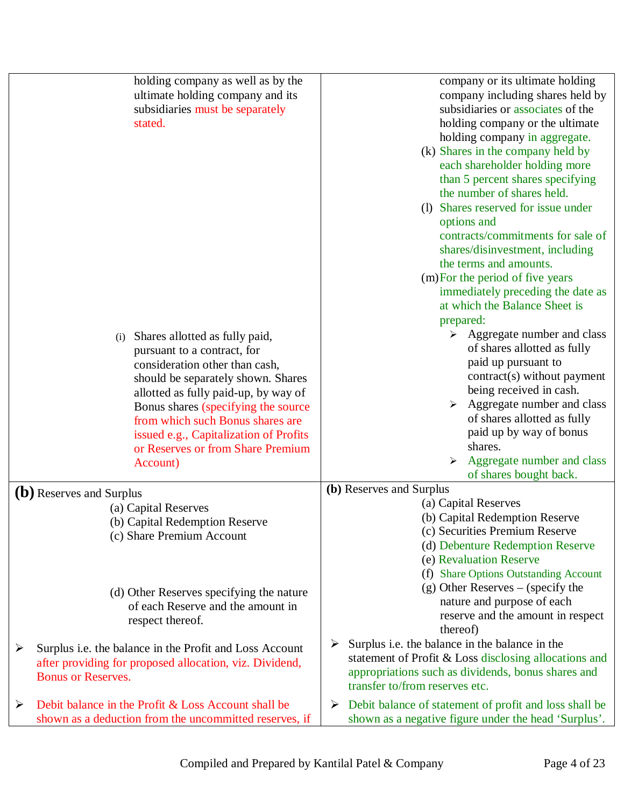|                       | holding company as well as by the<br>ultimate holding company and its<br>subsidiaries must be separately<br>stated.<br>Shares allotted as fully paid,<br>(i)<br>pursuant to a contract, for<br>consideration other than cash,<br>should be separately shown. Shares<br>allotted as fully paid-up, by way of<br>Bonus shares (specifying the source<br>from which such Bonus shares are<br>issued e.g., Capitalization of Profits<br>or Reserves or from Share Premium | company or its ultimate holding<br>company including shares held by<br>subsidiaries or associates of the<br>holding company or the ultimate<br>holding company in aggregate.<br>(k) Shares in the company held by<br>each shareholder holding more<br>than 5 percent shares specifying<br>the number of shares held.<br>(1) Shares reserved for issue under<br>options and<br>contracts/commitments for sale of<br>shares/disinvestment, including<br>the terms and amounts.<br>(m) For the period of five years<br>immediately preceding the date as<br>at which the Balance Sheet is<br>prepared:<br>$\triangleright$ Aggregate number and class<br>of shares allotted as fully<br>paid up pursuant to<br>contract(s) without payment<br>being received in cash.<br>Aggregate number and class<br>of shares allotted as fully<br>paid up by way of bonus<br>shares. |
|-----------------------|-----------------------------------------------------------------------------------------------------------------------------------------------------------------------------------------------------------------------------------------------------------------------------------------------------------------------------------------------------------------------------------------------------------------------------------------------------------------------|-----------------------------------------------------------------------------------------------------------------------------------------------------------------------------------------------------------------------------------------------------------------------------------------------------------------------------------------------------------------------------------------------------------------------------------------------------------------------------------------------------------------------------------------------------------------------------------------------------------------------------------------------------------------------------------------------------------------------------------------------------------------------------------------------------------------------------------------------------------------------|
|                       | Account)                                                                                                                                                                                                                                                                                                                                                                                                                                                              | Aggregate number and class<br>of shares bought back.                                                                                                                                                                                                                                                                                                                                                                                                                                                                                                                                                                                                                                                                                                                                                                                                                  |
|                       | (b) Reserves and Surplus<br>(a) Capital Reserves<br>(b) Capital Redemption Reserve<br>(c) Share Premium Account                                                                                                                                                                                                                                                                                                                                                       | (b) Reserves and Surplus<br>(a) Capital Reserves<br>(b) Capital Redemption Reserve<br>(c) Securities Premium Reserve<br>(d) Debenture Redemption Reserve<br>(e) Revaluation Reserve                                                                                                                                                                                                                                                                                                                                                                                                                                                                                                                                                                                                                                                                                   |
|                       | (d) Other Reserves specifying the nature<br>of each Reserve and the amount in<br>respect thereof.                                                                                                                                                                                                                                                                                                                                                                     | (f) Share Options Outstanding Account<br>$(g)$ Other Reserves – (specify the<br>nature and purpose of each<br>reserve and the amount in respect<br>thereof)                                                                                                                                                                                                                                                                                                                                                                                                                                                                                                                                                                                                                                                                                                           |
| $\blacktriangleright$ | Surplus i.e. the balance in the Profit and Loss Account<br>after providing for proposed allocation, viz. Dividend,<br><b>Bonus or Reserves.</b>                                                                                                                                                                                                                                                                                                                       | Surplus i.e. the balance in the balance in the<br>➤<br>statement of Profit & Loss disclosing allocations and<br>appropriations such as dividends, bonus shares and<br>transfer to/from reserves etc.                                                                                                                                                                                                                                                                                                                                                                                                                                                                                                                                                                                                                                                                  |
| ➤                     | Debit balance in the Profit & Loss Account shall be<br>shown as a deduction from the uncommitted reserves, if                                                                                                                                                                                                                                                                                                                                                         | Debit balance of statement of profit and loss shall be<br>➤<br>shown as a negative figure under the head 'Surplus'.                                                                                                                                                                                                                                                                                                                                                                                                                                                                                                                                                                                                                                                                                                                                                   |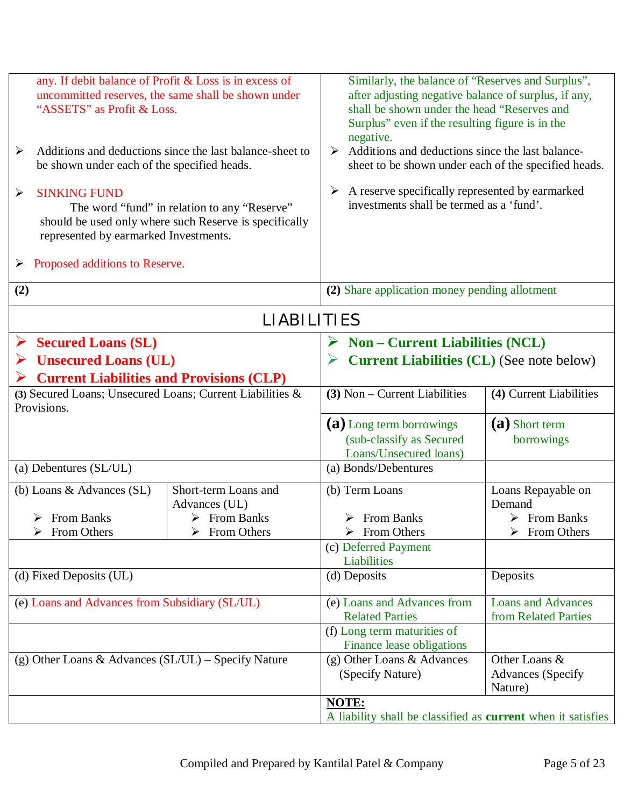| any. If debit balance of Profit & Loss is in excess of<br>uncommitted reserves, the same shall be shown under<br>"ASSETS" as Profit & Loss.<br>Additions and deductions since the last balance-sheet to<br>$\blacktriangleright$<br>be shown under each of the specified heads.<br><b>SINKING FUND</b><br>$\blacktriangleright$<br>The word "fund" in relation to any "Reserve"<br>should be used only where such Reserve is specifically |                                                                                     | Similarly, the balance of "Reserves and Surplus",<br>after adjusting negative balance of surplus, if any,<br>shall be shown under the head "Reserves and<br>Surplus" even if the resulting figure is in the<br>negative.<br>$\triangleright$ Additions and deductions since the last balance-<br>sheet to be shown under each of the specified heads.<br>A reserve specifically represented by earmarked<br>➤<br>investments shall be termed as a 'fund'. |                                                                            |
|-------------------------------------------------------------------------------------------------------------------------------------------------------------------------------------------------------------------------------------------------------------------------------------------------------------------------------------------------------------------------------------------------------------------------------------------|-------------------------------------------------------------------------------------|-----------------------------------------------------------------------------------------------------------------------------------------------------------------------------------------------------------------------------------------------------------------------------------------------------------------------------------------------------------------------------------------------------------------------------------------------------------|----------------------------------------------------------------------------|
| represented by earmarked Investments.<br>Proposed additions to Reserve.<br>➤                                                                                                                                                                                                                                                                                                                                                              |                                                                                     |                                                                                                                                                                                                                                                                                                                                                                                                                                                           |                                                                            |
| (2)                                                                                                                                                                                                                                                                                                                                                                                                                                       |                                                                                     | (2) Share application money pending allotment                                                                                                                                                                                                                                                                                                                                                                                                             |                                                                            |
|                                                                                                                                                                                                                                                                                                                                                                                                                                           | <b>LIABILITIES</b>                                                                  |                                                                                                                                                                                                                                                                                                                                                                                                                                                           |                                                                            |
| <b>Secured Loans (SL)</b><br>➤<br><b>Unsecured Loans (UL)</b><br>➤<br><b>Current Liabilities and Provisions (CLP)</b><br>➤                                                                                                                                                                                                                                                                                                                |                                                                                     | <b>Non - Current Liabilities (NCL)</b><br>➤<br><b>Current Liabilities (CL) (See note below)</b>                                                                                                                                                                                                                                                                                                                                                           |                                                                            |
| (3) Secured Loans; Unsecured Loans; Current Liabilities &<br>Provisions.                                                                                                                                                                                                                                                                                                                                                                  |                                                                                     | (3) Non – Current Liabilities                                                                                                                                                                                                                                                                                                                                                                                                                             | (4) Current Liabilities                                                    |
|                                                                                                                                                                                                                                                                                                                                                                                                                                           |                                                                                     | (a) Long term borrowings<br>(sub-classify as Secured<br>Loans/Unsecured loans)                                                                                                                                                                                                                                                                                                                                                                            | (a) Short term<br>borrowings                                               |
| (a) Debentures (SL/UL)                                                                                                                                                                                                                                                                                                                                                                                                                    |                                                                                     | (a) Bonds/Debentures                                                                                                                                                                                                                                                                                                                                                                                                                                      |                                                                            |
| (b) Loans & Advances (SL)<br>$\triangleright$ From Banks<br>From Others                                                                                                                                                                                                                                                                                                                                                                   | Short-term Loans and<br>Advances (UL)<br>$\triangleright$ From Banks<br>From Others | (b) Term Loans<br>$\triangleright$ From Banks<br>$\triangleright$ From Others                                                                                                                                                                                                                                                                                                                                                                             | Loans Repayable on<br>Demand<br>$\triangleright$ From Banks<br>From Others |
|                                                                                                                                                                                                                                                                                                                                                                                                                                           |                                                                                     | (c) Deferred Payment<br>Liabilities                                                                                                                                                                                                                                                                                                                                                                                                                       |                                                                            |
| (d) Fixed Deposits (UL)                                                                                                                                                                                                                                                                                                                                                                                                                   |                                                                                     | (d) Deposits                                                                                                                                                                                                                                                                                                                                                                                                                                              | Deposits                                                                   |
| (e) Loans and Advances from Subsidiary (SL/UL)                                                                                                                                                                                                                                                                                                                                                                                            |                                                                                     | (e) Loans and Advances from<br><b>Related Parties</b>                                                                                                                                                                                                                                                                                                                                                                                                     | <b>Loans and Advances</b><br>from Related Parties                          |
| (g) Other Loans & Advances $(SL/UL)$ – Specify Nature                                                                                                                                                                                                                                                                                                                                                                                     |                                                                                     | (f) Long term maturities of<br><b>Finance lease obligations</b><br>(g) Other Loans & Advances<br>(Specify Nature)                                                                                                                                                                                                                                                                                                                                         | Other Loans &<br><b>Advances</b> (Specify<br>Nature)                       |
|                                                                                                                                                                                                                                                                                                                                                                                                                                           |                                                                                     | NOTE:<br>A liability shall be classified as <b>current</b> when it satisfies                                                                                                                                                                                                                                                                                                                                                                              |                                                                            |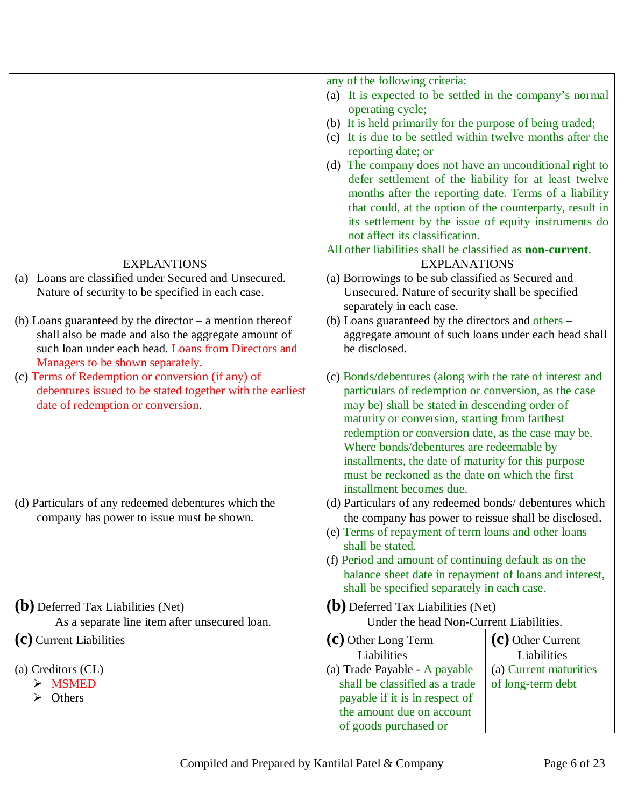|                                                                                                                   | any of the following criteria:                                                                                          |                        |
|-------------------------------------------------------------------------------------------------------------------|-------------------------------------------------------------------------------------------------------------------------|------------------------|
|                                                                                                                   | (a) It is expected to be settled in the company's normal                                                                |                        |
|                                                                                                                   | operating cycle;                                                                                                        |                        |
|                                                                                                                   | (b) It is held primarily for the purpose of being traded;<br>(c) It is due to be settled within twelve months after the |                        |
|                                                                                                                   | reporting date; or                                                                                                      |                        |
|                                                                                                                   | (d) The company does not have an unconditional right to                                                                 |                        |
|                                                                                                                   | defer settlement of the liability for at least twelve                                                                   |                        |
|                                                                                                                   | months after the reporting date. Terms of a liability                                                                   |                        |
|                                                                                                                   | that could, at the option of the counterparty, result in                                                                |                        |
|                                                                                                                   | its settlement by the issue of equity instruments do                                                                    |                        |
|                                                                                                                   | not affect its classification.                                                                                          |                        |
|                                                                                                                   | All other liabilities shall be classified as <b>non-current</b> .                                                       |                        |
| <b>EXPLANTIONS</b>                                                                                                | <b>EXPLANATIONS</b>                                                                                                     |                        |
| (a) Loans are classified under Secured and Unsecured.                                                             | (a) Borrowings to be sub classified as Secured and                                                                      |                        |
| Nature of security to be specified in each case.                                                                  | Unsecured. Nature of security shall be specified                                                                        |                        |
|                                                                                                                   | separately in each case.                                                                                                |                        |
| (b) Loans guaranteed by the director $-$ a mention thereof<br>shall also be made and also the aggregate amount of | (b) Loans guaranteed by the directors and others -<br>aggregate amount of such loans under each head shall              |                        |
| such loan under each head. Loans from Directors and                                                               | be disclosed.                                                                                                           |                        |
| Managers to be shown separately.                                                                                  |                                                                                                                         |                        |
| (c) Terms of Redemption or conversion (if any) of                                                                 | (c) Bonds/debentures (along with the rate of interest and                                                               |                        |
| debentures issued to be stated together with the earliest                                                         | particulars of redemption or conversion, as the case                                                                    |                        |
| date of redemption or conversion.                                                                                 | may be) shall be stated in descending order of                                                                          |                        |
|                                                                                                                   | maturity or conversion, starting from farthest                                                                          |                        |
|                                                                                                                   | redemption or conversion date, as the case may be.                                                                      |                        |
|                                                                                                                   | Where bonds/debentures are redeemable by                                                                                |                        |
|                                                                                                                   | installments, the date of maturity for this purpose                                                                     |                        |
|                                                                                                                   | must be reckoned as the date on which the first                                                                         |                        |
| (d) Particulars of any redeemed debentures which the                                                              | installment becomes due.<br>(d) Particulars of any redeemed bonds/ debentures which                                     |                        |
| company has power to issue must be shown.                                                                         | the company has power to reissue shall be disclosed.                                                                    |                        |
|                                                                                                                   | (e) Terms of repayment of term loans and other loans                                                                    |                        |
|                                                                                                                   | shall be stated.                                                                                                        |                        |
|                                                                                                                   | (f) Period and amount of continuing default as on the                                                                   |                        |
|                                                                                                                   | balance sheet date in repayment of loans and interest,                                                                  |                        |
|                                                                                                                   | shall be specified separately in each case.                                                                             |                        |
| (b) Deferred Tax Liabilities (Net)                                                                                | <b>(b)</b> Deferred Tax Liabilities (Net)                                                                               |                        |
| As a separate line item after unsecured loan.                                                                     | Under the head Non-Current Liabilities.                                                                                 |                        |
| (c) Current Liabilities                                                                                           | (c) Other Long Term                                                                                                     | (c) Other Current      |
|                                                                                                                   | Liabilities                                                                                                             | Liabilities            |
| (a) Creditors (CL)                                                                                                | (a) Trade Payable - A payable                                                                                           | (a) Current maturities |
| $>$ MSMED                                                                                                         | shall be classified as a trade                                                                                          | of long-term debt      |
| Others<br>➢                                                                                                       | payable if it is in respect of                                                                                          |                        |
|                                                                                                                   | the amount due on account                                                                                               |                        |
|                                                                                                                   | of goods purchased or                                                                                                   |                        |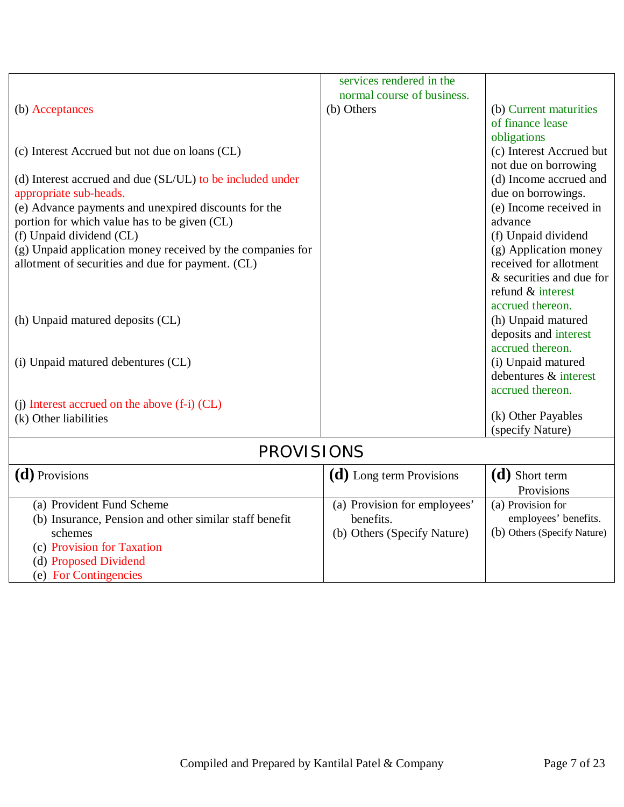|                                                            | services rendered in the     |                             |
|------------------------------------------------------------|------------------------------|-----------------------------|
|                                                            | normal course of business.   |                             |
| (b) Acceptances                                            | (b) Others                   | (b) Current maturities      |
|                                                            |                              | of finance lease            |
|                                                            |                              | obligations                 |
| (c) Interest Accrued but not due on loans (CL)             |                              | (c) Interest Accrued but    |
|                                                            |                              | not due on borrowing        |
| (d) Interest accrued and due (SL/UL) to be included under  |                              | (d) Income accrued and      |
| appropriate sub-heads.                                     |                              | due on borrowings.          |
| (e) Advance payments and unexpired discounts for the       |                              | (e) Income received in      |
| portion for which value has to be given (CL)               |                              | advance                     |
| (f) Unpaid dividend (CL)                                   |                              | (f) Unpaid dividend         |
| (g) Unpaid application money received by the companies for |                              | (g) Application money       |
| allotment of securities and due for payment. (CL)          |                              | received for allotment      |
|                                                            |                              | & securities and due for    |
|                                                            |                              | refund & interest           |
|                                                            |                              | accrued thereon.            |
| (h) Unpaid matured deposits (CL)                           |                              | (h) Unpaid matured          |
|                                                            |                              | deposits and interest       |
|                                                            |                              | accrued thereon.            |
| (i) Unpaid matured debentures (CL)                         |                              | (i) Unpaid matured          |
|                                                            |                              | debentures & interest       |
|                                                            |                              | accrued thereon.            |
| (i) Interest accrued on the above (f-i) (CL)               |                              |                             |
| (k) Other liabilities                                      |                              | (k) Other Payables          |
|                                                            |                              | (specify Nature)            |
| <b>PROVISIONS</b>                                          |                              |                             |
| ( <b>d</b> ) Provisions                                    | (d) Long term Provisions     | (d) Short term              |
|                                                            |                              | Provisions                  |
| (a) Provident Fund Scheme                                  | (a) Provision for employees' | (a) Provision for           |
| (b) Insurance, Pension and other similar staff benefit     | benefits.                    | employees' benefits.        |
| schemes                                                    | (b) Others (Specify Nature)  | (b) Others (Specify Nature) |
| (c) Provision for Taxation                                 |                              |                             |
| (d) Proposed Dividend                                      |                              |                             |
| (e) For Contingencies                                      |                              |                             |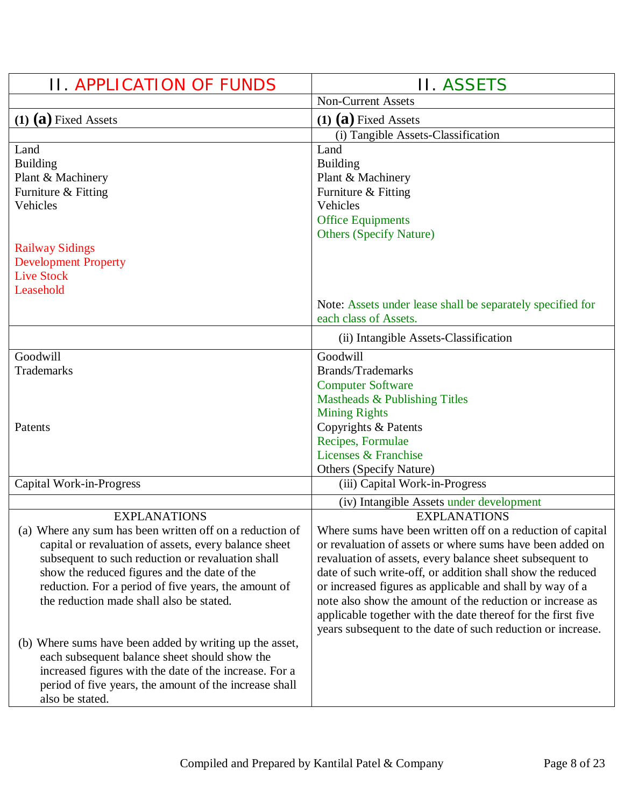| <b>II. APPLICATION OF FUNDS</b>                                                                            | <b>II. ASSETS</b>                                                                                                     |
|------------------------------------------------------------------------------------------------------------|-----------------------------------------------------------------------------------------------------------------------|
|                                                                                                            | <b>Non-Current Assets</b>                                                                                             |
| $(1)$ $(a)$ Fixed Assets                                                                                   | $(1)$ $(a)$ Fixed Assets                                                                                              |
|                                                                                                            | (i) Tangible Assets-Classification                                                                                    |
| Land                                                                                                       | Land                                                                                                                  |
| <b>Building</b>                                                                                            | <b>Building</b>                                                                                                       |
| Plant & Machinery<br>Furniture & Fitting                                                                   | Plant & Machinery<br>Furniture & Fitting                                                                              |
| Vehicles                                                                                                   | Vehicles                                                                                                              |
|                                                                                                            | <b>Office Equipments</b>                                                                                              |
|                                                                                                            | <b>Others (Specify Nature)</b>                                                                                        |
| <b>Railway Sidings</b>                                                                                     |                                                                                                                       |
| <b>Development Property</b>                                                                                |                                                                                                                       |
| <b>Live Stock</b>                                                                                          |                                                                                                                       |
| Leasehold                                                                                                  | Note: Assets under lease shall be separately specified for                                                            |
|                                                                                                            | each class of Assets.                                                                                                 |
|                                                                                                            | (ii) Intangible Assets-Classification                                                                                 |
| Goodwill                                                                                                   | Goodwill                                                                                                              |
| Trademarks                                                                                                 | <b>Brands/Trademarks</b>                                                                                              |
|                                                                                                            | <b>Computer Software</b>                                                                                              |
|                                                                                                            | Mastheads & Publishing Titles                                                                                         |
| Patents                                                                                                    | <b>Mining Rights</b>                                                                                                  |
|                                                                                                            | Copyrights & Patents<br>Recipes, Formulae                                                                             |
|                                                                                                            | Licenses & Franchise                                                                                                  |
|                                                                                                            | <b>Others (Specify Nature)</b>                                                                                        |
| Capital Work-in-Progress                                                                                   | (iii) Capital Work-in-Progress                                                                                        |
|                                                                                                            | (iv) Intangible Assets under development                                                                              |
| <b>EXPLANATIONS</b>                                                                                        | <b>EXPLANATIONS</b>                                                                                                   |
| (a) Where any sum has been written off on a reduction of                                                   | Where sums have been written off on a reduction of capital                                                            |
| capital or revaluation of assets, every balance sheet<br>subsequent to such reduction or revaluation shall | or revaluation of assets or where sums have been added on<br>revaluation of assets, every balance sheet subsequent to |
| show the reduced figures and the date of the                                                               | date of such write-off, or addition shall show the reduced                                                            |
| reduction. For a period of five years, the amount of                                                       | or increased figures as applicable and shall by way of a                                                              |
| the reduction made shall also be stated.                                                                   | note also show the amount of the reduction or increase as                                                             |
|                                                                                                            | applicable together with the date thereof for the first five                                                          |
|                                                                                                            | years subsequent to the date of such reduction or increase.                                                           |
| (b) Where sums have been added by writing up the asset,                                                    |                                                                                                                       |
| each subsequent balance sheet should show the<br>increased figures with the date of the increase. For a    |                                                                                                                       |
| period of five years, the amount of the increase shall                                                     |                                                                                                                       |
| also be stated.                                                                                            |                                                                                                                       |
|                                                                                                            |                                                                                                                       |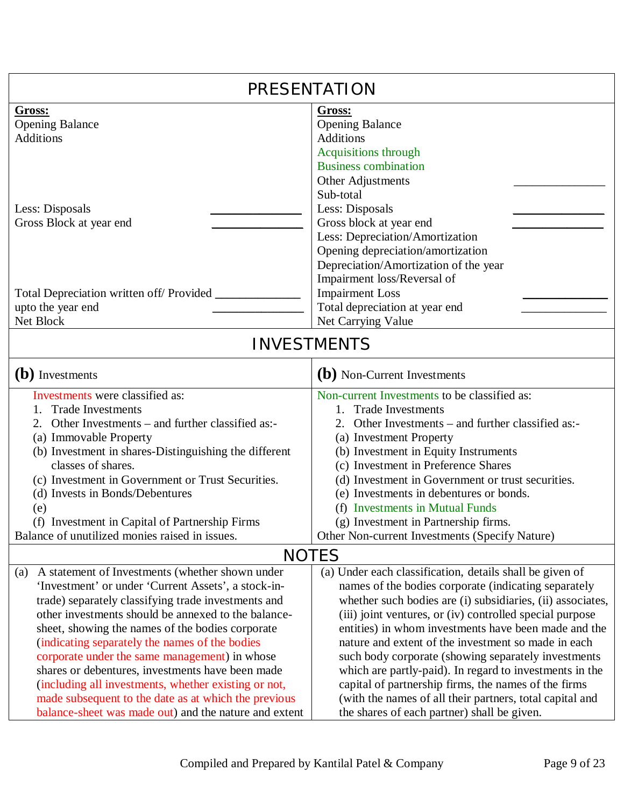| PRESENTATION                                                                                                                                                                                                                                                                                                                                                                                                                                                                                                                                                                                                 |                                                                                                                                                                                                                                                                                                                                                                                                                                                                                                                                                                                                                                                |  |
|--------------------------------------------------------------------------------------------------------------------------------------------------------------------------------------------------------------------------------------------------------------------------------------------------------------------------------------------------------------------------------------------------------------------------------------------------------------------------------------------------------------------------------------------------------------------------------------------------------------|------------------------------------------------------------------------------------------------------------------------------------------------------------------------------------------------------------------------------------------------------------------------------------------------------------------------------------------------------------------------------------------------------------------------------------------------------------------------------------------------------------------------------------------------------------------------------------------------------------------------------------------------|--|
| Gross:<br><b>Opening Balance</b><br><b>Additions</b><br>Less: Disposals<br>Gross Block at year end                                                                                                                                                                                                                                                                                                                                                                                                                                                                                                           | Gross:<br><b>Opening Balance</b><br><b>Additions</b><br>Acquisitions through<br><b>Business combination</b><br>Other Adjustments<br>Sub-total<br>Less: Disposals<br>Gross block at year end<br>Less: Depreciation/Amortization<br>Opening depreciation/amortization<br>Depreciation/Amortization of the year                                                                                                                                                                                                                                                                                                                                   |  |
| Total Depreciation written off/ Provided ________<br>upto the year end<br>Net Block                                                                                                                                                                                                                                                                                                                                                                                                                                                                                                                          | Impairment loss/Reversal of<br><b>Impairment Loss</b><br>Total depreciation at year end<br>Net Carrying Value                                                                                                                                                                                                                                                                                                                                                                                                                                                                                                                                  |  |
| <b>INVESTMENTS</b>                                                                                                                                                                                                                                                                                                                                                                                                                                                                                                                                                                                           |                                                                                                                                                                                                                                                                                                                                                                                                                                                                                                                                                                                                                                                |  |
| (b) Investments                                                                                                                                                                                                                                                                                                                                                                                                                                                                                                                                                                                              | (b) Non-Current Investments                                                                                                                                                                                                                                                                                                                                                                                                                                                                                                                                                                                                                    |  |
| Investments were classified as:<br><b>Trade Investments</b><br>Other Investments – and further classified as:-<br>(a) Immovable Property<br>(b) Investment in shares-Distinguishing the different<br>classes of shares.<br>(c) Investment in Government or Trust Securities.<br>(d) Invests in Bonds/Debentures<br>(e)<br>(f) Investment in Capital of Partnership Firms<br>Balance of unutilized monies raised in issues.                                                                                                                                                                                   | Non-current Investments to be classified as:<br><b>Trade Investments</b><br>$1_{-}$<br>2. Other Investments – and further classified as:-<br>(a) Investment Property<br>(b) Investment in Equity Instruments<br>(c) Investment in Preference Shares<br>(d) Investment in Government or trust securities.<br>(e) Investments in debentures or bonds.<br>(f) Investments in Mutual Funds<br>(g) Investment in Partnership firms.<br>Other Non-current Investments (Specify Nature)                                                                                                                                                               |  |
| <b>NOTES</b>                                                                                                                                                                                                                                                                                                                                                                                                                                                                                                                                                                                                 |                                                                                                                                                                                                                                                                                                                                                                                                                                                                                                                                                                                                                                                |  |
| (a) A statement of Investments (whether shown under<br>'Investment' or under 'Current Assets', a stock-in-<br>trade) separately classifying trade investments and<br>other investments should be annexed to the balance-<br>sheet, showing the names of the bodies corporate<br>(indicating separately the names of the bodies<br>corporate under the same management) in whose<br>shares or debentures, investments have been made<br>(including all investments, whether existing or not,<br>made subsequent to the date as at which the previous<br>balance-sheet was made out) and the nature and extent | (a) Under each classification, details shall be given of<br>names of the bodies corporate (indicating separately<br>whether such bodies are (i) subsidiaries, (ii) associates,<br>(iii) joint ventures, or (iv) controlled special purpose<br>entities) in whom investments have been made and the<br>nature and extent of the investment so made in each<br>such body corporate (showing separately investments<br>which are partly-paid). In regard to investments in the<br>capital of partnership firms, the names of the firms<br>(with the names of all their partners, total capital and<br>the shares of each partner) shall be given. |  |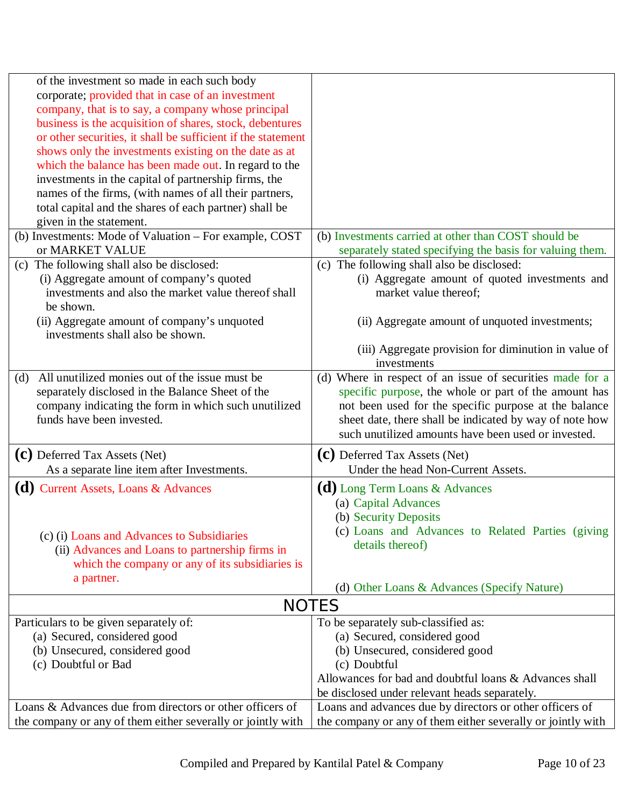| of the investment so made in each such body                  |                                                             |
|--------------------------------------------------------------|-------------------------------------------------------------|
| corporate; provided that in case of an investment            |                                                             |
| company, that is to say, a company whose principal           |                                                             |
| business is the acquisition of shares, stock, debentures     |                                                             |
| or other securities, it shall be sufficient if the statement |                                                             |
| shows only the investments existing on the date as at        |                                                             |
| which the balance has been made out. In regard to the        |                                                             |
| investments in the capital of partnership firms, the         |                                                             |
| names of the firms, (with names of all their partners,       |                                                             |
| total capital and the shares of each partner) shall be       |                                                             |
| given in the statement.                                      |                                                             |
| (b) Investments: Mode of Valuation – For example, COST       | (b) Investments carried at other than COST should be        |
| or MARKET VALUE                                              | separately stated specifying the basis for valuing them.    |
| (c) The following shall also be disclosed:                   | (c) The following shall also be disclosed:                  |
| (i) Aggregate amount of company's quoted                     | (i) Aggregate amount of quoted investments and              |
| investments and also the market value thereof shall          |                                                             |
|                                                              | market value thereof;                                       |
| be shown.                                                    |                                                             |
| (ii) Aggregate amount of company's unquoted                  | (ii) Aggregate amount of unquoted investments;              |
| investments shall also be shown.                             |                                                             |
|                                                              | (iii) Aggregate provision for diminution in value of        |
|                                                              | investments                                                 |
| All unutilized monies out of the issue must be<br>(d)        | (d) Where in respect of an issue of securities made for a   |
| separately disclosed in the Balance Sheet of the             | specific purpose, the whole or part of the amount has       |
| company indicating the form in which such unutilized         | not been used for the specific purpose at the balance       |
| funds have been invested.                                    | sheet date, there shall be indicated by way of note how     |
|                                                              | such unutilized amounts have been used or invested.         |
| (C) Deferred Tax Assets (Net)                                | (C) Deferred Tax Assets (Net)                               |
| As a separate line item after Investments.                   | Under the head Non-Current Assets.                          |
|                                                              |                                                             |
| $(d)$ Current Assets, Loans & Advances                       | (d) Long Term Loans & Advances                              |
|                                                              | (a) Capital Advances                                        |
|                                                              | (b) Security Deposits                                       |
| (c) (i) Loans and Advances to Subsidiaries                   | (c) Loans and Advances to Related Parties (giving           |
| (ii) Advances and Loans to partnership firms in              | details thereof)                                            |
| which the company or any of its subsidiaries is              |                                                             |
| a partner.                                                   |                                                             |
|                                                              | (d) Other Loans & Advances (Specify Nature)                 |
|                                                              | <b>NOTES</b>                                                |
| Particulars to be given separately of:                       | To be separately sub-classified as:                         |
| (a) Secured, considered good                                 | (a) Secured, considered good                                |
| (b) Unsecured, considered good                               | (b) Unsecured, considered good                              |
| (c) Doubtful or Bad                                          | (c) Doubtful                                                |
|                                                              | Allowances for bad and doubtful loans & Advances shall      |
|                                                              | be disclosed under relevant heads separately.               |
| Loans & Advances due from directors or other officers of     | Loans and advances due by directors or other officers of    |
| the company or any of them either severally or jointly with  | the company or any of them either severally or jointly with |
|                                                              |                                                             |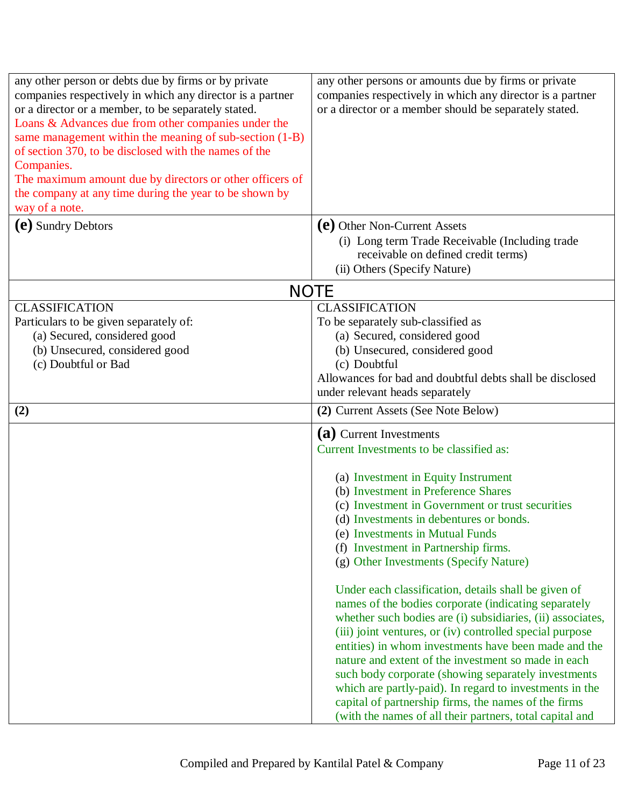| any other person or debts due by firms or by private<br>companies respectively in which any director is a partner<br>or a director or a member, to be separately stated.<br>Loans & Advances due from other companies under the<br>same management within the meaning of sub-section (1-B)<br>of section 370, to be disclosed with the names of the<br>Companies.<br>The maximum amount due by directors or other officers of<br>the company at any time during the year to be shown by<br>way of a note. | any other persons or amounts due by firms or private<br>companies respectively in which any director is a partner<br>or a director or a member should be separately stated.                                                                                                                                                                                                                                                                                                           |
|-----------------------------------------------------------------------------------------------------------------------------------------------------------------------------------------------------------------------------------------------------------------------------------------------------------------------------------------------------------------------------------------------------------------------------------------------------------------------------------------------------------|---------------------------------------------------------------------------------------------------------------------------------------------------------------------------------------------------------------------------------------------------------------------------------------------------------------------------------------------------------------------------------------------------------------------------------------------------------------------------------------|
| (e) Sundry Debtors                                                                                                                                                                                                                                                                                                                                                                                                                                                                                        | (e) Other Non-Current Assets<br>(i) Long term Trade Receivable (Including trade<br>receivable on defined credit terms)<br>(ii) Others (Specify Nature)                                                                                                                                                                                                                                                                                                                                |
|                                                                                                                                                                                                                                                                                                                                                                                                                                                                                                           | <b>NOTE</b>                                                                                                                                                                                                                                                                                                                                                                                                                                                                           |
| <b>CLASSIFICATION</b><br>Particulars to be given separately of:<br>(a) Secured, considered good<br>(b) Unsecured, considered good<br>(c) Doubtful or Bad                                                                                                                                                                                                                                                                                                                                                  | <b>CLASSIFICATION</b><br>To be separately sub-classified as<br>(a) Secured, considered good<br>(b) Unsecured, considered good<br>(c) Doubtful<br>Allowances for bad and doubtful debts shall be disclosed<br>under relevant heads separately                                                                                                                                                                                                                                          |
| (2)                                                                                                                                                                                                                                                                                                                                                                                                                                                                                                       | (2) Current Assets (See Note Below)                                                                                                                                                                                                                                                                                                                                                                                                                                                   |
|                                                                                                                                                                                                                                                                                                                                                                                                                                                                                                           | (a) Current Investments<br>Current Investments to be classified as:<br>(a) Investment in Equity Instrument<br>(b) Investment in Preference Shares<br>(c) Investment in Government or trust securities<br>(d) Investments in debentures or bonds.<br>(e) Investments in Mutual Funds<br>(f) Investment in Partnership firms.<br>(g) Other Investments (Specify Nature)<br>Under each classification, details shall be given of<br>names of the bodies corporate (indicating separately |
|                                                                                                                                                                                                                                                                                                                                                                                                                                                                                                           | whether such bodies are (i) subsidiaries, (ii) associates,<br>(iii) joint ventures, or (iv) controlled special purpose<br>entities) in whom investments have been made and the<br>nature and extent of the investment so made in each<br>such body corporate (showing separately investments<br>which are partly-paid). In regard to investments in the<br>capital of partnership firms, the names of the firms<br>(with the names of all their partners, total capital and           |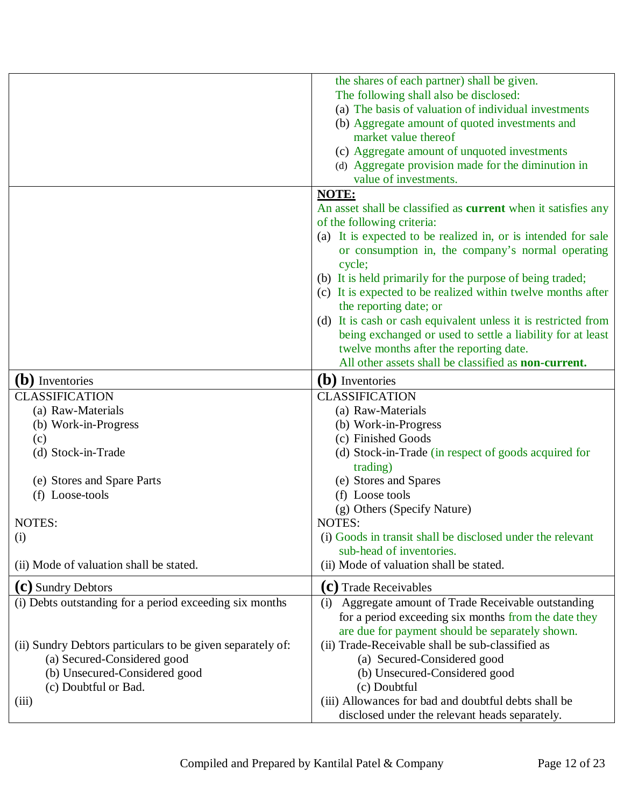|                                                            | the shares of each partner) shall be given.                          |
|------------------------------------------------------------|----------------------------------------------------------------------|
|                                                            | The following shall also be disclosed:                               |
|                                                            | (a) The basis of valuation of individual investments                 |
|                                                            | (b) Aggregate amount of quoted investments and                       |
|                                                            | market value thereof                                                 |
|                                                            | (c) Aggregate amount of unquoted investments                         |
|                                                            | (d) Aggregate provision made for the diminution in                   |
|                                                            | value of investments.                                                |
|                                                            | NOTE:                                                                |
|                                                            | An asset shall be classified as <b>current</b> when it satisfies any |
|                                                            | of the following criteria:                                           |
|                                                            | (a) It is expected to be realized in, or is intended for sale        |
|                                                            | or consumption in, the company's normal operating                    |
|                                                            | cycle;                                                               |
|                                                            | (b) It is held primarily for the purpose of being traded;            |
|                                                            | (c) It is expected to be realized within twelve months after         |
|                                                            | the reporting date; or                                               |
|                                                            | (d) It is cash or cash equivalent unless it is restricted from       |
|                                                            | being exchanged or used to settle a liability for at least           |
|                                                            | twelve months after the reporting date.                              |
|                                                            | All other assets shall be classified as <b>non-current.</b>          |
| (b) Inventories                                            | (b) Inventories                                                      |
| <b>CLASSIFICATION</b>                                      | <b>CLASSIFICATION</b>                                                |
| (a) Raw-Materials                                          | (a) Raw-Materials                                                    |
| (b) Work-in-Progress                                       | (b) Work-in-Progress                                                 |
| (c)                                                        | (c) Finished Goods                                                   |
| (d) Stock-in-Trade                                         | (d) Stock-in-Trade (in respect of goods acquired for                 |
|                                                            | trading)                                                             |
| (e) Stores and Spare Parts                                 | (e) Stores and Spares                                                |
| (f) Loose-tools                                            | (f) Loose tools                                                      |
|                                                            | (g) Others (Specify Nature)                                          |
| NOTES:                                                     | NOTES:                                                               |
| (i)                                                        | (i) Goods in transit shall be disclosed under the relevant           |
|                                                            | sub-head of inventories.                                             |
| (ii) Mode of valuation shall be stated.                    | (ii) Mode of valuation shall be stated.                              |
|                                                            |                                                                      |
| (C) Sundry Debtors                                         | (C) Trade Receivables                                                |
| (i) Debts outstanding for a period exceeding six months    | Aggregate amount of Trade Receivable outstanding<br>(i)              |
|                                                            | for a period exceeding six months from the date they                 |
|                                                            | are due for payment should be separately shown.                      |
| (ii) Sundry Debtors particulars to be given separately of: | (ii) Trade-Receivable shall be sub-classified as                     |
| (a) Secured-Considered good                                | (a) Secured-Considered good                                          |
| (b) Unsecured-Considered good                              | (b) Unsecured-Considered good                                        |
| (c) Doubtful or Bad.                                       | (c) Doubtful                                                         |
| (iii)                                                      | (iii) Allowances for bad and doubtful debts shall be                 |
|                                                            | disclosed under the relevant heads separately.                       |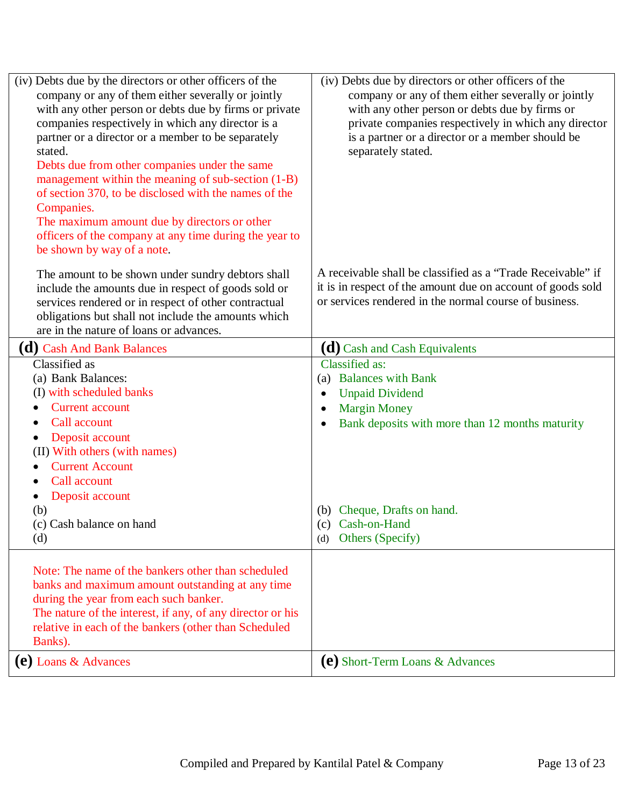| (iv) Debts due by the directors or other officers of the<br>company or any of them either severally or jointly<br>with any other person or debts due by firms or private<br>companies respectively in which any director is a<br>partner or a director or a member to be separately<br>stated.<br>Debts due from other companies under the same<br>management within the meaning of sub-section (1-B)<br>of section 370, to be disclosed with the names of the<br>Companies.<br>The maximum amount due by directors or other<br>officers of the company at any time during the year to<br>be shown by way of a note. | (iv) Debts due by directors or other officers of the<br>company or any of them either severally or jointly<br>with any other person or debts due by firms or<br>private companies respectively in which any director<br>is a partner or a director or a member should be<br>separately stated. |
|----------------------------------------------------------------------------------------------------------------------------------------------------------------------------------------------------------------------------------------------------------------------------------------------------------------------------------------------------------------------------------------------------------------------------------------------------------------------------------------------------------------------------------------------------------------------------------------------------------------------|------------------------------------------------------------------------------------------------------------------------------------------------------------------------------------------------------------------------------------------------------------------------------------------------|
| The amount to be shown under sundry debtors shall<br>include the amounts due in respect of goods sold or<br>services rendered or in respect of other contractual<br>obligations but shall not include the amounts which<br>are in the nature of loans or advances.                                                                                                                                                                                                                                                                                                                                                   | A receivable shall be classified as a "Trade Receivable" if<br>it is in respect of the amount due on account of goods sold<br>or services rendered in the normal course of business.                                                                                                           |
| ( <b>d</b> ) Cash And Bank Balances                                                                                                                                                                                                                                                                                                                                                                                                                                                                                                                                                                                  | $(d)$ Cash and Cash Equivalents                                                                                                                                                                                                                                                                |
| Classified as<br>(a) Bank Balances:<br>(I) with scheduled banks<br><b>Current account</b><br>Call account<br>Deposit account<br>(II) With others (with names)<br><b>Current Account</b><br>Call account<br>Deposit account<br>(b)<br>(c) Cash balance on hand<br>(d)                                                                                                                                                                                                                                                                                                                                                 | Classified as:<br>(a) Balances with Bank<br><b>Unpaid Dividend</b><br>$\bullet$<br><b>Margin Money</b><br>Bank deposits with more than 12 months maturity<br>(b) Cheque, Drafts on hand.<br>(c) Cash-on-Hand<br>Others (Specify)<br>(d)                                                        |
| Note: The name of the bankers other than scheduled<br>banks and maximum amount outstanding at any time<br>during the year from each such banker.<br>The nature of the interest, if any, of any director or his<br>relative in each of the bankers (other than Scheduled<br>Banks).<br>(e) Loans $\&$ Advances                                                                                                                                                                                                                                                                                                        | (e) Short-Term Loans & Advances                                                                                                                                                                                                                                                                |
|                                                                                                                                                                                                                                                                                                                                                                                                                                                                                                                                                                                                                      |                                                                                                                                                                                                                                                                                                |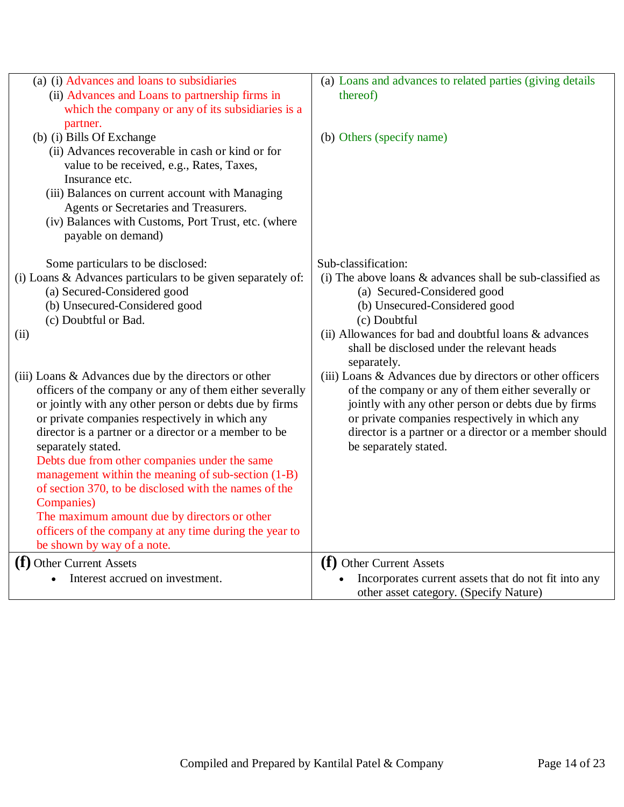| (a) (i) Advances and loans to subsidiaries                                                          | (a) Loans and advances to related parties (giving details   |
|-----------------------------------------------------------------------------------------------------|-------------------------------------------------------------|
| (ii) Advances and Loans to partnership firms in                                                     | thereof)                                                    |
| which the company or any of its subsidiaries is a                                                   |                                                             |
| partner.                                                                                            |                                                             |
| (b) (i) Bills Of Exchange                                                                           | (b) Others (specify name)                                   |
| (ii) Advances recoverable in cash or kind or for                                                    |                                                             |
| value to be received, e.g., Rates, Taxes,                                                           |                                                             |
| Insurance etc.                                                                                      |                                                             |
| (iii) Balances on current account with Managing                                                     |                                                             |
| Agents or Secretaries and Treasurers.                                                               |                                                             |
| (iv) Balances with Customs, Port Trust, etc. (where                                                 |                                                             |
| payable on demand)                                                                                  |                                                             |
| Some particulars to be disclosed:                                                                   | Sub-classification:                                         |
| (i) Loans & Advances particulars to be given separately of:                                         | (i) The above loans $&$ advances shall be sub-classified as |
| (a) Secured-Considered good                                                                         | (a) Secured-Considered good                                 |
| (b) Unsecured-Considered good                                                                       | (b) Unsecured-Considered good                               |
| (c) Doubtful or Bad.                                                                                | (c) Doubtful                                                |
| (ii)                                                                                                | (ii) Allowances for bad and doubtful loans & advances       |
|                                                                                                     | shall be disclosed under the relevant heads                 |
|                                                                                                     | separately.                                                 |
| (iii) Loans & Advances due by the directors or other                                                | (iii) Loans & Advances due by directors or other officers   |
| officers of the company or any of them either severally                                             | of the company or any of them either severally or           |
| or jointly with any other person or debts due by firms                                              | jointly with any other person or debts due by firms         |
| or private companies respectively in which any                                                      | or private companies respectively in which any              |
| director is a partner or a director or a member to be                                               | director is a partner or a director or a member should      |
| separately stated.                                                                                  | be separately stated.                                       |
| Debts due from other companies under the same<br>management within the meaning of sub-section (1-B) |                                                             |
| of section 370, to be disclosed with the names of the                                               |                                                             |
| <b>Companies</b> )                                                                                  |                                                             |
| The maximum amount due by directors or other                                                        |                                                             |
| officers of the company at any time during the year to                                              |                                                             |
| be shown by way of a note.                                                                          |                                                             |
| (f) Other Current Assets                                                                            | (f) Other Current Assets                                    |
| Interest accrued on investment.                                                                     | Incorporates current assets that do not fit into any        |
|                                                                                                     | other asset category. (Specify Nature)                      |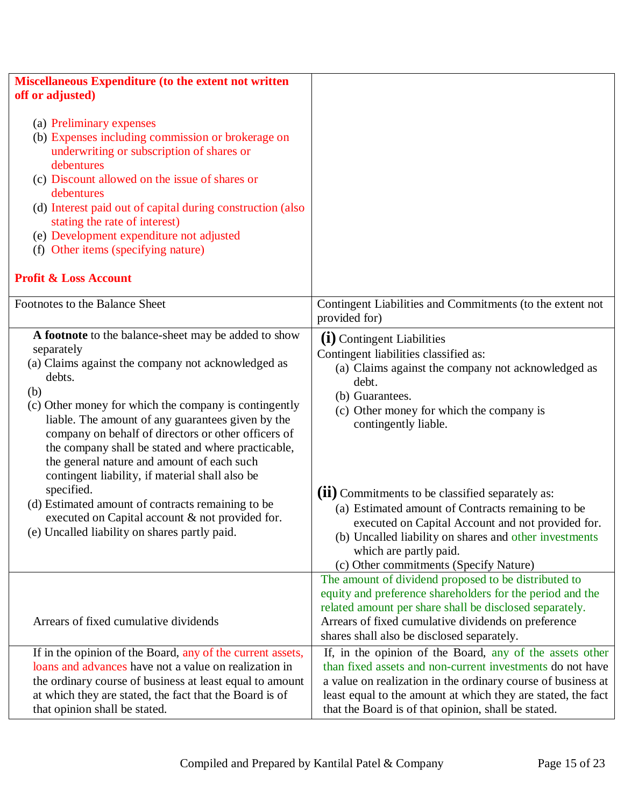| Miscellaneous Expenditure (to the extent not written                                                                                                                                                                                                                                                                                                                                                                                                                                                                                                                                                                                         |                                                                                                                                                                                                                                                                                                                                                                                                                                                                                                                       |
|----------------------------------------------------------------------------------------------------------------------------------------------------------------------------------------------------------------------------------------------------------------------------------------------------------------------------------------------------------------------------------------------------------------------------------------------------------------------------------------------------------------------------------------------------------------------------------------------------------------------------------------------|-----------------------------------------------------------------------------------------------------------------------------------------------------------------------------------------------------------------------------------------------------------------------------------------------------------------------------------------------------------------------------------------------------------------------------------------------------------------------------------------------------------------------|
| off or adjusted)                                                                                                                                                                                                                                                                                                                                                                                                                                                                                                                                                                                                                             |                                                                                                                                                                                                                                                                                                                                                                                                                                                                                                                       |
| (a) Preliminary expenses<br>(b) Expenses including commission or brokerage on<br>underwriting or subscription of shares or<br>debentures<br>(c) Discount allowed on the issue of shares or<br>debentures<br>(d) Interest paid out of capital during construction (also<br>stating the rate of interest)<br>(e) Development expenditure not adjusted<br>(f) Other items (specifying nature)<br><b>Profit &amp; Loss Account</b>                                                                                                                                                                                                               |                                                                                                                                                                                                                                                                                                                                                                                                                                                                                                                       |
|                                                                                                                                                                                                                                                                                                                                                                                                                                                                                                                                                                                                                                              |                                                                                                                                                                                                                                                                                                                                                                                                                                                                                                                       |
| Footnotes to the Balance Sheet                                                                                                                                                                                                                                                                                                                                                                                                                                                                                                                                                                                                               | Contingent Liabilities and Commitments (to the extent not<br>provided for)                                                                                                                                                                                                                                                                                                                                                                                                                                            |
| A footnote to the balance-sheet may be added to show<br>separately<br>(a) Claims against the company not acknowledged as<br>debts.<br>(b)<br>(c) Other money for which the company is contingently<br>liable. The amount of any guarantees given by the<br>company on behalf of directors or other officers of<br>the company shall be stated and where practicable,<br>the general nature and amount of each such<br>contingent liability, if material shall also be<br>specified.<br>(d) Estimated amount of contracts remaining to be<br>executed on Capital account & not provided for.<br>(e) Uncalled liability on shares partly paid. | (i) Contingent Liabilities<br>Contingent liabilities classified as:<br>(a) Claims against the company not acknowledged as<br>debt.<br>(b) Guarantees.<br>(c) Other money for which the company is<br>contingently liable.<br>(ii) Commitments to be classified separately as:<br>(a) Estimated amount of Contracts remaining to be<br>executed on Capital Account and not provided for.<br>(b) Uncalled liability on shares and other investments<br>which are partly paid.<br>(c) Other commitments (Specify Nature) |
| Arrears of fixed cumulative dividends                                                                                                                                                                                                                                                                                                                                                                                                                                                                                                                                                                                                        | The amount of dividend proposed to be distributed to<br>equity and preference shareholders for the period and the<br>related amount per share shall be disclosed separately.<br>Arrears of fixed cumulative dividends on preference<br>shares shall also be disclosed separately.                                                                                                                                                                                                                                     |
| If in the opinion of the Board, any of the current assets,<br>loans and advances have not a value on realization in<br>the ordinary course of business at least equal to amount<br>at which they are stated, the fact that the Board is of<br>that opinion shall be stated.                                                                                                                                                                                                                                                                                                                                                                  | If, in the opinion of the Board, any of the assets other<br>than fixed assets and non-current investments do not have<br>a value on realization in the ordinary course of business at<br>least equal to the amount at which they are stated, the fact<br>that the Board is of that opinion, shall be stated.                                                                                                                                                                                                          |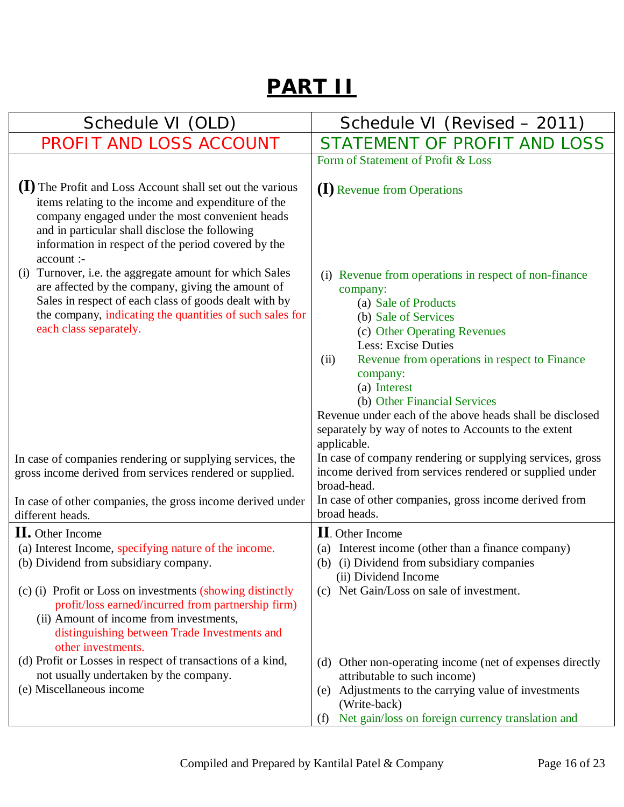## **PART II**

| Schedule VI (OLD)                                                                                                                                                                                                                                                                          | Schedule VI (Revised - 2011)                                                                                                                                                                                                                                                                                                                                     |
|--------------------------------------------------------------------------------------------------------------------------------------------------------------------------------------------------------------------------------------------------------------------------------------------|------------------------------------------------------------------------------------------------------------------------------------------------------------------------------------------------------------------------------------------------------------------------------------------------------------------------------------------------------------------|
| PROFIT AND LOSS ACCOUNT                                                                                                                                                                                                                                                                    | STATEMENT OF PROFIT AND LOSS                                                                                                                                                                                                                                                                                                                                     |
|                                                                                                                                                                                                                                                                                            | Form of Statement of Profit & Loss                                                                                                                                                                                                                                                                                                                               |
| (1) The Profit and Loss Account shall set out the various<br>items relating to the income and expenditure of the<br>company engaged under the most convenient heads<br>and in particular shall disclose the following<br>information in respect of the period covered by the<br>account :- | (I) Revenue from Operations                                                                                                                                                                                                                                                                                                                                      |
| Turnover, i.e. the aggregate amount for which Sales<br>(i)<br>are affected by the company, giving the amount of<br>Sales in respect of each class of goods dealt with by<br>the company, indicating the quantities of such sales for<br>each class separately.                             | (i) Revenue from operations in respect of non-finance<br>company:<br>(a) Sale of Products<br>(b) Sale of Services<br>(c) Other Operating Revenues<br><b>Less: Excise Duties</b><br>Revenue from operations in respect to Finance<br>(ii)<br>company:<br>(a) Interest<br>(b) Other Financial Services<br>Revenue under each of the above heads shall be disclosed |
|                                                                                                                                                                                                                                                                                            | separately by way of notes to Accounts to the extent<br>applicable.                                                                                                                                                                                                                                                                                              |
| In case of companies rendering or supplying services, the<br>gross income derived from services rendered or supplied.                                                                                                                                                                      | In case of company rendering or supplying services, gross<br>income derived from services rendered or supplied under<br>broad-head.                                                                                                                                                                                                                              |
| In case of other companies, the gross income derived under<br>different heads.                                                                                                                                                                                                             | In case of other companies, gross income derived from<br>broad heads.                                                                                                                                                                                                                                                                                            |
| <b>II.</b> Other Income                                                                                                                                                                                                                                                                    | <b>II</b> . Other Income                                                                                                                                                                                                                                                                                                                                         |
| (a) Interest Income, specifying nature of the income.<br>(b) Dividend from subsidiary company.                                                                                                                                                                                             | (a) Interest income (other than a finance company)<br>(b) (i) Dividend from subsidiary companies<br>(ii) Dividend Income                                                                                                                                                                                                                                         |
| (c) (i) Profit or Loss on investments (showing distinctly<br>profit/loss earned/incurred from partnership firm)<br>(ii) Amount of income from investments,<br>distinguishing between Trade Investments and<br>other investments.                                                           | (c) Net Gain/Loss on sale of investment.                                                                                                                                                                                                                                                                                                                         |
| (d) Profit or Losses in respect of transactions of a kind,<br>not usually undertaken by the company.                                                                                                                                                                                       | Other non-operating income (net of expenses directly<br>(d)<br>attributable to such income)                                                                                                                                                                                                                                                                      |
| (e) Miscellaneous income                                                                                                                                                                                                                                                                   | (e) Adjustments to the carrying value of investments<br>(Write-back)                                                                                                                                                                                                                                                                                             |
|                                                                                                                                                                                                                                                                                            | Net gain/loss on foreign currency translation and<br>(f)                                                                                                                                                                                                                                                                                                         |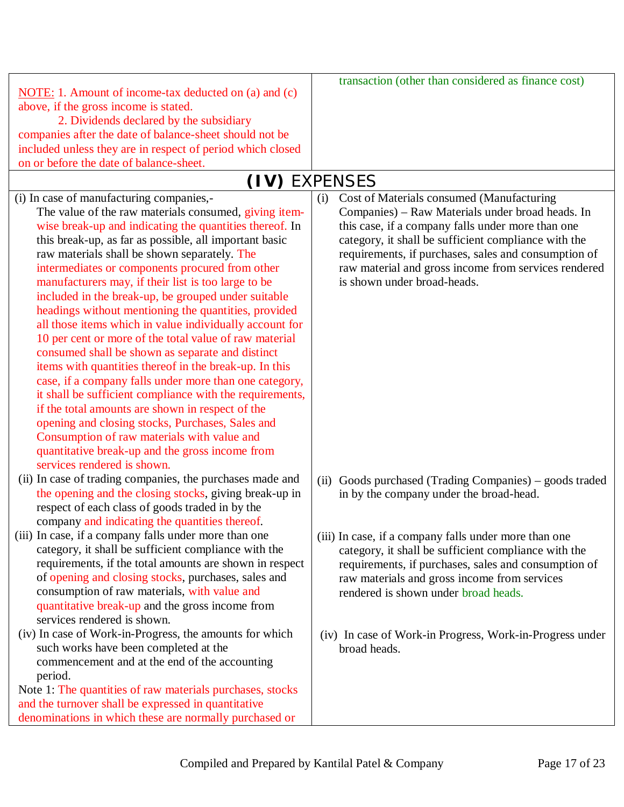|                                                            | transaction (other than considered as finance cost)        |
|------------------------------------------------------------|------------------------------------------------------------|
| NOTE: 1. Amount of income-tax deducted on (a) and (c)      |                                                            |
| above, if the gross income is stated.                      |                                                            |
| 2. Dividends declared by the subsidiary                    |                                                            |
| companies after the date of balance-sheet should not be    |                                                            |
| included unless they are in respect of period which closed |                                                            |
| on or before the date of balance-sheet.                    |                                                            |
|                                                            | (IV) EXPENSES                                              |
| (i) In case of manufacturing companies,-                   | Cost of Materials consumed (Manufacturing<br>(i)           |
| The value of the raw materials consumed, giving item-      | Companies) – Raw Materials under broad heads. In           |
| wise break-up and indicating the quantities thereof. In    | this case, if a company falls under more than one          |
| this break-up, as far as possible, all important basic     | category, it shall be sufficient compliance with the       |
| raw materials shall be shown separately. The               | requirements, if purchases, sales and consumption of       |
| intermediates or components procured from other            | raw material and gross income from services rendered       |
| manufacturers may, if their list is too large to be        | is shown under broad-heads.                                |
| included in the break-up, be grouped under suitable        |                                                            |
| headings without mentioning the quantities, provided       |                                                            |
| all those items which in value individually account for    |                                                            |
| 10 per cent or more of the total value of raw material     |                                                            |
| consumed shall be shown as separate and distinct           |                                                            |
| items with quantities thereof in the break-up. In this     |                                                            |
|                                                            |                                                            |
| case, if a company falls under more than one category,     |                                                            |
| it shall be sufficient compliance with the requirements,   |                                                            |
| if the total amounts are shown in respect of the           |                                                            |
| opening and closing stocks, Purchases, Sales and           |                                                            |
| Consumption of raw materials with value and                |                                                            |
| quantitative break-up and the gross income from            |                                                            |
| services rendered is shown.                                |                                                            |
| (ii) In case of trading companies, the purchases made and  | Goods purchased (Trading Companies) – goods traded<br>(ii) |
| the opening and the closing stocks, giving break-up in     | in by the company under the broad-head.                    |
| respect of each class of goods traded in by the            |                                                            |
| company and indicating the quantities thereof.             |                                                            |
| (iii) In case, if a company falls under more than one      | (iii) In case, if a company falls under more than one      |
| category, it shall be sufficient compliance with the       | category, it shall be sufficient compliance with the       |
| requirements, if the total amounts are shown in respect    | requirements, if purchases, sales and consumption of       |
| of opening and closing stocks, purchases, sales and        | raw materials and gross income from services               |
| consumption of raw materials, with value and               | rendered is shown under broad heads.                       |
| quantitative break-up and the gross income from            |                                                            |
| services rendered is shown.                                |                                                            |
| (iv) In case of Work-in-Progress, the amounts for which    | (iv) In case of Work-in Progress, Work-in-Progress under   |
| such works have been completed at the                      | broad heads.                                               |
| commencement and at the end of the accounting              |                                                            |
| period.                                                    |                                                            |
| Note 1: The quantities of raw materials purchases, stocks  |                                                            |
| and the turnover shall be expressed in quantitative        |                                                            |
| denominations in which these are normally purchased or     |                                                            |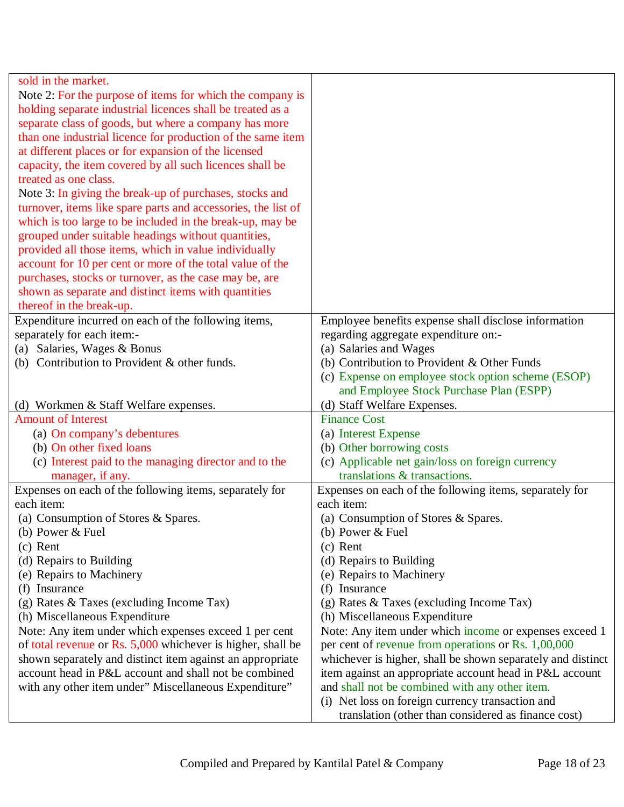| sold in the market.                                           |                                                             |
|---------------------------------------------------------------|-------------------------------------------------------------|
| Note 2: For the purpose of items for which the company is     |                                                             |
| holding separate industrial licences shall be treated as a    |                                                             |
| separate class of goods, but where a company has more         |                                                             |
| than one industrial licence for production of the same item   |                                                             |
| at different places or for expansion of the licensed          |                                                             |
| capacity, the item covered by all such licences shall be      |                                                             |
| treated as one class.                                         |                                                             |
| Note 3: In giving the break-up of purchases, stocks and       |                                                             |
| turnover, items like spare parts and accessories, the list of |                                                             |
| which is too large to be included in the break-up, may be     |                                                             |
| grouped under suitable headings without quantities,           |                                                             |
| provided all those items, which in value individually         |                                                             |
| account for 10 per cent or more of the total value of the     |                                                             |
| purchases, stocks or turnover, as the case may be, are        |                                                             |
| shown as separate and distinct items with quantities          |                                                             |
| thereof in the break-up.                                      |                                                             |
| Expenditure incurred on each of the following items,          | Employee benefits expense shall disclose information        |
| separately for each item:-                                    | regarding aggregate expenditure on:-                        |
| Salaries, Wages & Bonus<br>(a)                                | (a) Salaries and Wages                                      |
| (b) Contribution to Provident & other funds.                  | (b) Contribution to Provident & Other Funds                 |
|                                                               | (c) Expense on employee stock option scheme (ESOP)          |
|                                                               | and Employee Stock Purchase Plan (ESPP)                     |
| (d) Workmen & Staff Welfare expenses.                         | (d) Staff Welfare Expenses.                                 |
| <b>Amount of Interest</b>                                     | <b>Finance Cost</b>                                         |
| (a) On company's debentures                                   | (a) Interest Expense                                        |
| (b) On other fixed loans                                      | (b) Other borrowing costs                                   |
| (c) Interest paid to the managing director and to the         | (c) Applicable net gain/loss on foreign currency            |
| manager, if any.                                              | translations & transactions.                                |
| Expenses on each of the following items, separately for       | Expenses on each of the following items, separately for     |
| each item:                                                    | each item:                                                  |
| (a) Consumption of Stores & Spares.                           | (a) Consumption of Stores & Spares.                         |
| (b) Power $&$ Fuel                                            | (b) Power $&$ Fuel                                          |
| $(c)$ Rent                                                    | $(c)$ Rent                                                  |
| (d) Repairs to Building                                       | (d) Repairs to Building                                     |
| (e) Repairs to Machinery                                      | (e) Repairs to Machinery                                    |
| Insurance<br>(f)                                              | (f) Insurance                                               |
| (g) Rates & Taxes (excluding Income Tax)                      | (g) Rates $&$ Taxes (excluding Income Tax)                  |
| (h) Miscellaneous Expenditure                                 | (h) Miscellaneous Expenditure                               |
| Note: Any item under which expenses exceed 1 per cent         | Note: Any item under which income or expenses exceed 1      |
| of total revenue or Rs. 5,000 whichever is higher, shall be   | per cent of revenue from operations or Rs. 1,00,000         |
| shown separately and distinct item against an appropriate     | whichever is higher, shall be shown separately and distinct |
| account head in P&L account and shall not be combined         | item against an appropriate account head in P&L account     |
| with any other item under" Miscellaneous Expenditure"         | and shall not be combined with any other item.              |
|                                                               |                                                             |
|                                                               | (i) Net loss on foreign currency transaction and            |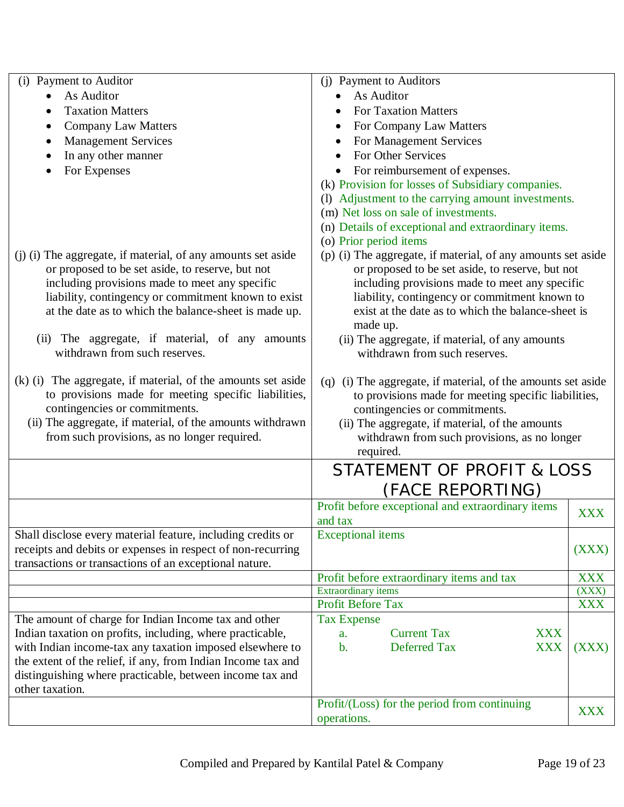| Payment to Auditor<br>(i)                                                                                             | (j) Payment to Auditors                                                                       |            |
|-----------------------------------------------------------------------------------------------------------------------|-----------------------------------------------------------------------------------------------|------------|
| As Auditor                                                                                                            | As Auditor                                                                                    |            |
| <b>Taxation Matters</b>                                                                                               | <b>For Taxation Matters</b>                                                                   |            |
| <b>Company Law Matters</b>                                                                                            | For Company Law Matters                                                                       |            |
| <b>Management Services</b>                                                                                            | For Management Services                                                                       |            |
| In any other manner                                                                                                   | For Other Services                                                                            |            |
| For Expenses                                                                                                          | For reimbursement of expenses.<br>$\bullet$                                                   |            |
|                                                                                                                       | (k) Provision for losses of Subsidiary companies.                                             |            |
|                                                                                                                       | (I) Adjustment to the carrying amount investments.                                            |            |
|                                                                                                                       | (m) Net loss on sale of investments.                                                          |            |
|                                                                                                                       | (n) Details of exceptional and extraordinary items.                                           |            |
|                                                                                                                       | (o) Prior period items                                                                        |            |
| (j) (i) The aggregate, if material, of any amounts set aside                                                          | (p) (i) The aggregate, if material, of any amounts set aside                                  |            |
| or proposed to be set aside, to reserve, but not                                                                      | or proposed to be set aside, to reserve, but not                                              |            |
| including provisions made to meet any specific                                                                        | including provisions made to meet any specific                                                |            |
| liability, contingency or commitment known to exist                                                                   | liability, contingency or commitment known to                                                 |            |
| at the date as to which the balance-sheet is made up.                                                                 | exist at the date as to which the balance-sheet is<br>made up.                                |            |
| (ii) The aggregate, if material, of any amounts                                                                       | (ii) The aggregate, if material, of any amounts                                               |            |
| withdrawn from such reserves.                                                                                         | withdrawn from such reserves.                                                                 |            |
|                                                                                                                       |                                                                                               |            |
| (k) (i) The aggregate, if material, of the amounts set aside                                                          | (q) (i) The aggregate, if material, of the amounts set aside                                  |            |
| to provisions made for meeting specific liabilities,                                                                  | to provisions made for meeting specific liabilities,                                          |            |
| contingencies or commitments.                                                                                         | contingencies or commitments.                                                                 |            |
| (ii) The aggregate, if material, of the amounts withdrawn                                                             | (ii) The aggregate, if material, of the amounts                                               |            |
| from such provisions, as no longer required.                                                                          | withdrawn from such provisions, as no longer                                                  |            |
|                                                                                                                       | required.                                                                                     |            |
|                                                                                                                       | STATEMENT OF PROFIT & LOSS                                                                    |            |
|                                                                                                                       | (FACE REPORTING)                                                                              |            |
|                                                                                                                       | Profit before exceptional and extraordinary items                                             | <b>XXX</b> |
|                                                                                                                       | and tax                                                                                       |            |
| Shall disclose every material feature, including credits or                                                           | <b>Exceptional</b> items                                                                      |            |
| receipts and debits or expenses in respect of non-recurring                                                           |                                                                                               | (XXX)      |
| transactions or transactions of an exceptional nature.                                                                |                                                                                               |            |
|                                                                                                                       | Profit before extraordinary items and tax                                                     | <b>XXX</b> |
|                                                                                                                       | <b>Extraordinary items</b>                                                                    | (XXX)      |
|                                                                                                                       | <b>Profit Before Tax</b>                                                                      | <b>XXX</b> |
| The amount of charge for Indian Income tax and other                                                                  | <b>Tax Expense</b>                                                                            |            |
| Indian taxation on profits, including, where practicable,<br>with Indian income-tax any taxation imposed elsewhere to | <b>Current Tax</b><br><b>XXX</b><br>a.<br><b>Deferred Tax</b><br><b>XXX</b><br>$\mathbf{b}$ . |            |
| the extent of the relief, if any, from Indian Income tax and                                                          |                                                                                               | (XXX)      |
| distinguishing where practicable, between income tax and                                                              |                                                                                               |            |
| other taxation.                                                                                                       |                                                                                               |            |
|                                                                                                                       | Profit/(Loss) for the period from continuing                                                  |            |
|                                                                                                                       | operations.                                                                                   | <b>XXX</b> |
|                                                                                                                       |                                                                                               |            |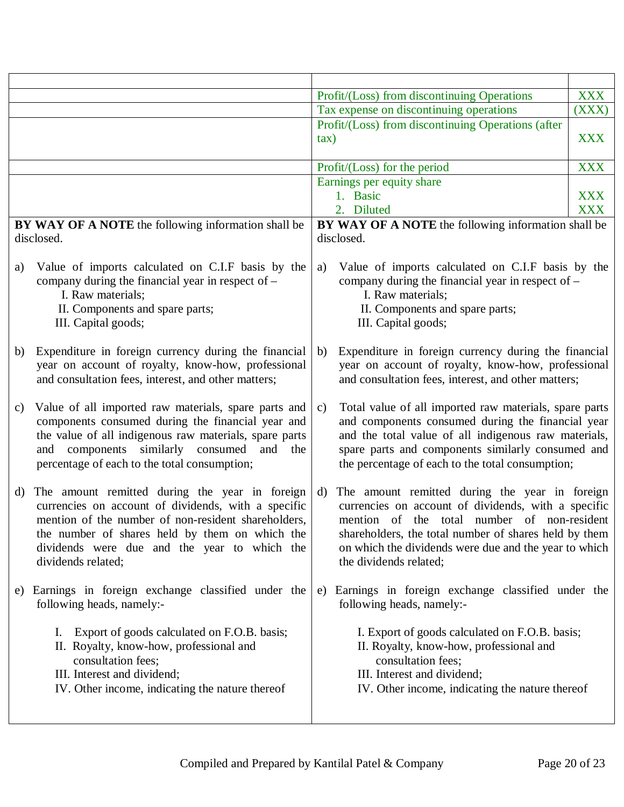|    |                                                                                                                                                                                                                                                                                      |        | Profit/(Loss) from discontinuing Operations                                                                                                                                                                                                                                                      | <b>XXX</b> |
|----|--------------------------------------------------------------------------------------------------------------------------------------------------------------------------------------------------------------------------------------------------------------------------------------|--------|--------------------------------------------------------------------------------------------------------------------------------------------------------------------------------------------------------------------------------------------------------------------------------------------------|------------|
|    |                                                                                                                                                                                                                                                                                      |        | Tax expense on discontinuing operations                                                                                                                                                                                                                                                          | (XXX)      |
|    |                                                                                                                                                                                                                                                                                      | $\tan$ | Profit/(Loss) from discontinuing Operations (after                                                                                                                                                                                                                                               | <b>XXX</b> |
|    |                                                                                                                                                                                                                                                                                      |        | Profit/(Loss) for the period                                                                                                                                                                                                                                                                     | <b>XXX</b> |
|    |                                                                                                                                                                                                                                                                                      |        | Earnings per equity share                                                                                                                                                                                                                                                                        |            |
|    |                                                                                                                                                                                                                                                                                      |        | 1. Basic                                                                                                                                                                                                                                                                                         | <b>XXX</b> |
|    |                                                                                                                                                                                                                                                                                      |        | 2. Diluted                                                                                                                                                                                                                                                                                       | <b>XXX</b> |
|    | BY WAY OF A NOTE the following information shall be<br>disclosed.                                                                                                                                                                                                                    |        | BY WAY OF A NOTE the following information shall be<br>disclosed.                                                                                                                                                                                                                                |            |
| a) | Value of imports calculated on C.I.F basis by the<br>company during the financial year in respect of $-$<br>I. Raw materials;<br>II. Components and spare parts;<br>III. Capital goods;                                                                                              | a)     | Value of imports calculated on C.I.F basis by the<br>company during the financial year in respect of $-$<br>I. Raw materials;<br>II. Components and spare parts;<br>III. Capital goods;                                                                                                          |            |
| b) | Expenditure in foreign currency during the financial<br>year on account of royalty, know-how, professional<br>and consultation fees, interest, and other matters;                                                                                                                    | b)     | Expenditure in foreign currency during the financial<br>year on account of royalty, know-how, professional<br>and consultation fees, interest, and other matters;                                                                                                                                |            |
| c) | Value of all imported raw materials, spare parts and<br>components consumed during the financial year and<br>the value of all indigenous raw materials, spare parts<br>and components similarly consumed<br>and<br>the<br>percentage of each to the total consumption;               | c)     | Total value of all imported raw materials, spare parts<br>and components consumed during the financial year<br>and the total value of all indigenous raw materials,<br>spare parts and components similarly consumed and<br>the percentage of each to the total consumption;                     |            |
| d) | The amount remitted during the year in foreign<br>currencies on account of dividends, with a specific<br>mention of the number of non-resident shareholders,<br>the number of shares held by them on which the<br>dividends were due and the year to which the<br>dividends related; | d)     | The amount remitted during the year in foreign<br>currencies on account of dividends, with a specific<br>mention of the total number of non-resident<br>shareholders, the total number of shares held by them<br>on which the dividends were due and the year to which<br>the dividends related; |            |
|    | e) Earnings in foreign exchange classified under the<br>following heads, namely:-                                                                                                                                                                                                    |        | e) Earnings in foreign exchange classified under the<br>following heads, namely:-                                                                                                                                                                                                                |            |
|    | Export of goods calculated on F.O.B. basis;<br>Ι.<br>II. Royalty, know-how, professional and<br>consultation fees;<br>III. Interest and dividend;<br>IV. Other income, indicating the nature thereof                                                                                 |        | I. Export of goods calculated on F.O.B. basis;<br>II. Royalty, know-how, professional and<br>consultation fees;<br>III. Interest and dividend;<br>IV. Other income, indicating the nature thereof                                                                                                |            |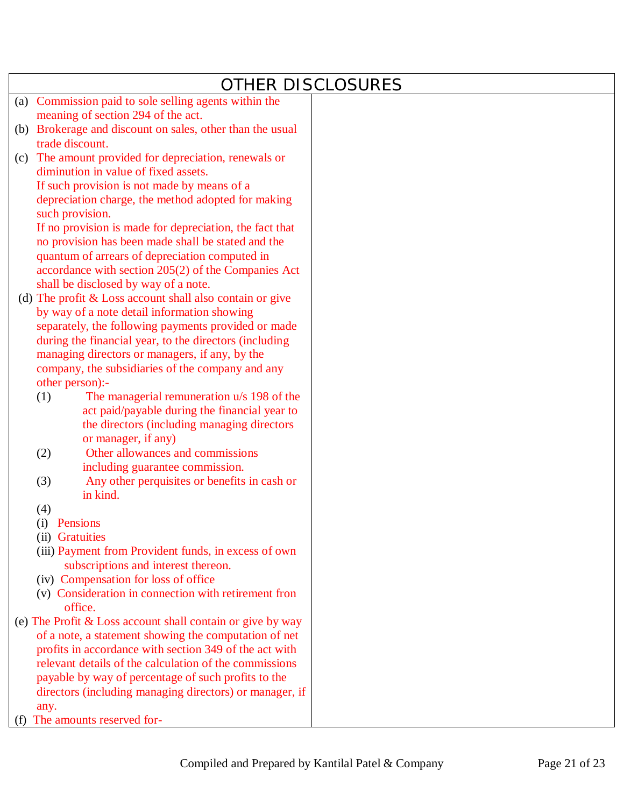|     | <b>OTHER DISCLOSURES</b>                                              |  |
|-----|-----------------------------------------------------------------------|--|
| (a) | Commission paid to sole selling agents within the                     |  |
|     | meaning of section 294 of the act.                                    |  |
|     | (b) Brokerage and discount on sales, other than the usual             |  |
|     | trade discount.                                                       |  |
| (c) | The amount provided for depreciation, renewals or                     |  |
|     | diminution in value of fixed assets.                                  |  |
|     | If such provision is not made by means of a                           |  |
|     | depreciation charge, the method adopted for making<br>such provision. |  |
|     | If no provision is made for depreciation, the fact that               |  |
|     | no provision has been made shall be stated and the                    |  |
|     | quantum of arrears of depreciation computed in                        |  |
|     | accordance with section 205(2) of the Companies Act                   |  |
|     | shall be disclosed by way of a note.                                  |  |
|     | (d) The profit $&$ Loss account shall also contain or give            |  |
|     | by way of a note detail information showing                           |  |
|     | separately, the following payments provided or made                   |  |
|     | during the financial year, to the directors (including                |  |
|     | managing directors or managers, if any, by the                        |  |
|     | company, the subsidiaries of the company and any                      |  |
|     | other person):-                                                       |  |
|     | The managerial remuneration u/s 198 of the<br>(1)                     |  |
|     | act paid/payable during the financial year to                         |  |
|     | the directors (including managing directors                           |  |
|     | or manager, if any)<br>Other allowances and commissions<br>(2)        |  |
|     | including guarantee commission.                                       |  |
|     | Any other perquisites or benefits in cash or<br>(3)                   |  |
|     | in kind.                                                              |  |
|     | (4)                                                                   |  |
|     | (i)<br>Pensions                                                       |  |
|     | (ii) Gratuities                                                       |  |
|     | (iii) Payment from Provident funds, in excess of own                  |  |
|     | subscriptions and interest thereon.                                   |  |
|     | (iv) Compensation for loss of office                                  |  |
|     | (v) Consideration in connection with retirement fron                  |  |
|     | office.<br>(e) The Profit & Loss account shall contain or give by way |  |
|     | of a note, a statement showing the computation of net                 |  |
|     | profits in accordance with section 349 of the act with                |  |
|     | relevant details of the calculation of the commissions                |  |
|     | payable by way of percentage of such profits to the                   |  |
|     | directors (including managing directors) or manager, if               |  |
|     | any.                                                                  |  |
|     | The amounts reserved for-                                             |  |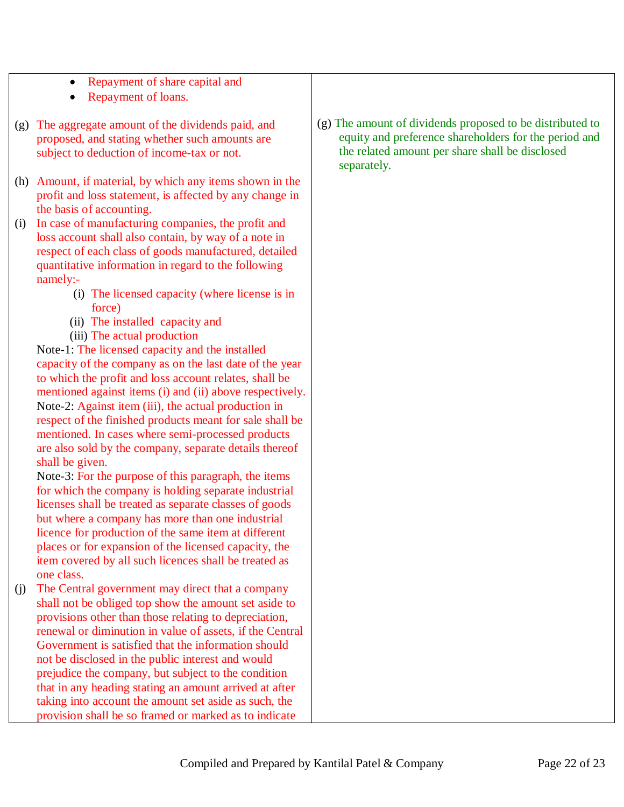- Repayment of share capital and
- Repayment of loans.
- (g) The aggregate amount of the dividends paid, and proposed, and stating whether such amounts are subject to deduction of income-tax or not.
- (h) Amount, if material, by which any items shown in the profit and loss statement, is affected by any change in the basis of accounting.
- (i) In case of manufacturing companies, the profit and loss account shall also contain, by way of a note in respect of each class of goods manufactured, detailed quantitative information in regard to the following namely:-
	- (i) The licensed capacity (where license is in force)
	- (ii) The installed capacity and
	- (iii) The actual production

Note-1: The licensed capacity and the installed capacity of the company as on the last date of the year to which the profit and loss account relates, shall be mentioned against items (i) and (ii) above respectively. Note-2: Against item (iii), the actual production in respect of the finished products meant for sale shall be mentioned. In cases where semi-processed products are also sold by the company, separate details thereof shall be given.

Note-3: For the purpose of this paragraph, the items for which the company is holding separate industrial licenses shall be treated as separate classes of goods but where a company has more than one industrial licence for production of the same item at different places or for expansion of the licensed capacity, the item covered by all such licences shall be treated as one class.

(j) The Central government may direct that a company shall not be obliged top show the amount set aside to provisions other than those relating to depreciation, renewal or diminution in value of assets, if the Central Government is satisfied that the information should not be disclosed in the public interest and would prejudice the company, but subject to the condition that in any heading stating an amount arrived at after taking into account the amount set aside as such, the provision shall be so framed or marked as to indicate

(g) The amount of dividends proposed to be distributed to equity and preference shareholders for the period and the related amount per share shall be disclosed separately.